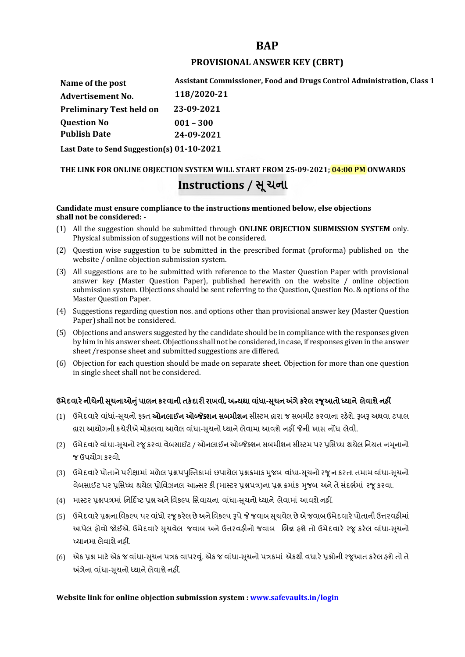# **BAP**

## **PROVISIONAL ANSWER KEY (CBRT)**

**Name of the post Advertisement No. Question No Assistant Commissioner, Food and Drugs Control Administration, Class 1 118/2020-21 Preliminary Test held on 23-09-2021 Publish Date 001 – 300 24-09-2021 Last Date to Send Suggestion(s) 01-10-2021**

# **THE LINK FOR ONLINE OBJECTION SYSTEM WILL START FROM 25-09-2021; 04:00 PM ONWARDS Instructions / Ʌ ૂચના**

#### **Candidate must ensure compliance to the instructions mentioned below, else objections shall not be considered: -**

- (1) All the suggestion should be submitted through **ONLINE OBJECTION SUBMISSION SYSTEM** only. Physical submission of suggestions will not be considered.
- (2) Question wise suggestion to be submitted in the prescribed format (proforma) published on the website / online objection submission system.
- (3) All suggestions are to be submitted with reference to the Master Question Paper with provisional answer key (Master Question Paper), published herewith on the website / online objection submission system. Objections should be sent referring to the Question, Question No. & options of the Master Question Paper.
- (4) Suggestions regarding question nos. and options other than provisional answer key (Master Question Paper) shall not be considered.
- (5) Objections and answers suggested by the candidate should be in compliance with the responses given by him in his answer sheet. Objections shall not be considered, in case, if responses given in the answer sheet /response sheet and submitted suggestions are differed.
- (6) Objection for each question should be made on separate sheet. Objection for more than one question in single sheet shall not be considered.

# **ઉમેદવાર°નીચેની Ʌ ૂચનાઓȵુંપાલન કરવાની તક°દાર રાખવી, અƛયથા વા ંધા-Ʌ ૂચન Ӕગેકર°લ રȩૂઆતો ƚયાને લેવાશેનહӄ**

- (1) ઉમેદવારે વાંધાં-સુચનો ફક્ત **ઓનલાઈન ઓબ્જેક્શન સબમીશન** સીસ્ટમ હ્રારા જ સબમીટ કરવાના રહેશે. રૂબરૂ અથવા ટપાલ દ્વારા આયોગની કચેરીએ મોકલવા આવેલ વાંધા-સૂચનો ધ્યાને લેવામા આવશે નહીં જેની ખાસ નોંધ લેવી.
- (2) ઉમેદવારે વાંધા-સચનો રજ કરવા વેબસાઈટ / ઓનલાઈન ઓબ્જેક્શન સબમીશન સીસ્ટમ પર પ્રસિધ્ધ થયેલ નિયત નમનાનો જ ઉપયોગ કરવો.
- (3) ઉમેદવારે પોતાને પરીક્ષામાં મળેલ પ્રશ્નપપુસ્તિકામાં છપાયેલ પ્રશ્નક્રમાક મુજબ વાંધા-સૂચનો રજૂન કરતા તમામ વાંધા-સૂચનો વેબસાઈટ પર પ્રસિધ્ધ થયેલ પ્રોવિઝનલ આન્સર કી (માસ્ટર પ્રશ્નપત્ર)ના પ્રશ્ન ક્રમાંક મજબ અને તે સંદર્ભમાં ૨જ કરવા.
- (4) માસ્ટર પ્રશ્નપત્રમાં નિર્દિષ્ટ પ્રશ્ન અને વિકલ્પ સિવાયના વાંધા-સચનો ધ્યાને લેવામાં આવશે નહીં.
- (5) ઉમેદવારે પ્રશ્નના વિકલ્પ પર વાંધો રજૂ કરેલ છે અને વિકલ્પ રૂપે જે જવાબ સુચવેલ છે એ જવાબ ઉમેદવારે પોતાની ઉત્તરવહીમાં આપેલ હોવો જોઈએ. ઉમેદવારે સૂચવેલ જવાબ અને ઉત્તરવહીનો જવાબ ભિન્ન હશે તો ઉમેદવારે રજૂ કરેલ વાંધા-સૂચનો ધ્યાનમા લેવાશે નહીં.
- (6) એક પ્રશ્ન માટે એક જ વાંધા-સૂચન પત્રક વાપરવું. એક જ વાંધા-સૂચનો પત્રકમાં એકથી વધારે પ્રશ્નોની રજૂઆત કરેલ હશે તો તે અંગેના વાંધા-સુચનો ધ્યાને લેવાશે નહીં.

## **Website link for online objection submission system : www.safevaults.in/login**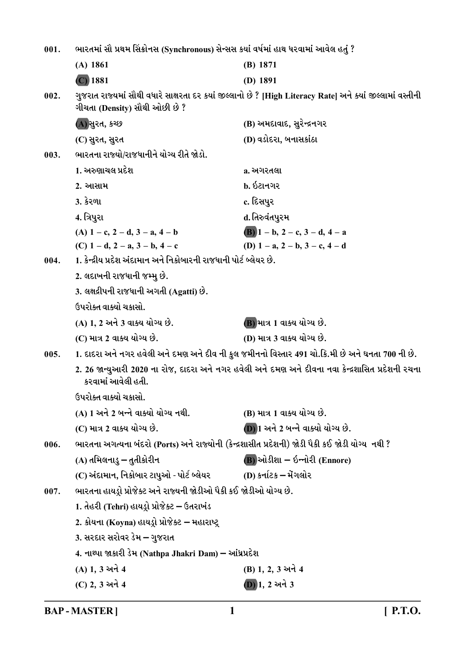ભારતમાં સૌ પ્રથમ સિંક્રોનસ (Synchronous) સેન્સસ કર્યા વર્ષમાં હાથ ધરવામાં આવેલ હતું ?  $001.$  $(A)$  1861  $(B) 1871$  $(C)$  1881  $(D)$  1891 ગુજરાત રાજ્યમાં સૌથી વધારે સાક્ષરતા દર કયાં જીલ્લાનો છે ? [High Literacy Rate] અને ક્યાં જીલ્લામાં વસ્તીની  $002.$ ગીચતા (Density) સૌથી ઓછી છે? (A) સુરત, કચ્છ (B) અમદાવાદ, સુરેન્દ્રનગર (D) વડોદરા, બનાસકાંઠા (C) સુરત, સુરત ભારતના રાજ્યો/રાજધાનીને યોગ્ય રીતે જોડો.  $003.$ 1. અરુણાચલ પ્રદેશ a. અગરતલા ?. આસામ  $h.62H912$ **3. કેરળા** c. દિસપુર 4. ત્રિપુરા d. તિરુવંતપુરમ (A)  $1 - c$ ,  $2 - d$ ,  $3 - a$ ,  $4 - b$ (B)  $1 - b$ ,  $2 - c$ ,  $3 - d$ ,  $4 - a$ (C)  $1 - d$ ,  $2 - a$ ,  $3 - b$ ,  $4 - c$ (D)  $1 - a$ ,  $2 - b$ ,  $3 - c$ ,  $4 - d$ 1. કેન્દ્રીય પ્રદેશ અંદામાન અને નિકોબારની રાજધાની પોર્ટ બ્લેયર છે.  $004.$ 2. લદાખની રાજધાની જમ્મુ છે. 3. લક્ષદ્રીપની રાજધાની અગતી (Agatti) છે. ઉપરોક્ત વાક્યો ચકાસો. (A) 1. 2 અને 3 વાક્ય યોગ્ય છે. (B) માત્ર 1 વાક્ય યોગ્ય છે. (D) માત્ર 3 વાક્ય યોગ્ય છે. (C) માત્ર 2 વાક્ય યોગ્ય છે. 1. દાદરા અને નગર હવેલી અને દમણ અને દીવ ની કુલ જમીનનો વિસ્તાર 491 ચો.કિ.મી છે અને ઘનતા 700 ની છે. 005. 2. 26 જાન્યુઆરી 2020 ના રોજ, દાદરા અને નગર હવેલી અને દમણ અને દીવના નવા કેન્દ્રશાસિત પ્રદેશની રચના કરવામાં આવેલી હતી. ઉપરોક્ત વાક્યો ચકાસો. (A) 1 અને 2 બન્ને વાક્યો યોગ્ય નથી. (B) માત્ર 1 વાક્ય યોગ્ય છે. (C) માત્ર 2 વાક્ય યોગ્ય છે. **D**) 1 અને 2 બન્ને વાક્યો યોગ્ય છે. ભારતના અગત્યના બંદરો (Ports) અને રાજ્યોની (કેન્દ્રશાસીત પ્રદેશની) જોડી પૈકી કઈ જોડી યોગ્ય નથી ?  $006.$  $(B)$ ઓડીશા – ઇન્નોરી (Ennore) (A) તમિલનાડુ – તુતીકોરીન (C) અંદામાન, નિકોબાર ટાપુઓ - પોર્ટ બ્લેયર (D) કર્નાટક – મેંગલોર ભારતના હાયડ્રો પ્રોજેક્ટ અને રાજ્યની જોડીઓ પૈકી કઈ જોડીઓ યોગ્ય છે. 007. 1. તેહરી (Tehri) હાયડ્રો પ્રોજેક્ટ – ઉતરાખંડ 2. કોયના (Koyna) હાયડ્રો પ્રોજેક્ટ – મહારાષ્ટ્ર 3. સરદાર સરોવર ડેમ – ગુજરાત 4. નાથ્પા જાકારી ડેમ (Nathpa Jhakri Dam) – આંધ્રપ્રદેશ (A) 1.3 અને 4 (B) 1, 2, 3 અને 4 (C) 2, 3 અને 4  $(D)$ 1, 2 અને 3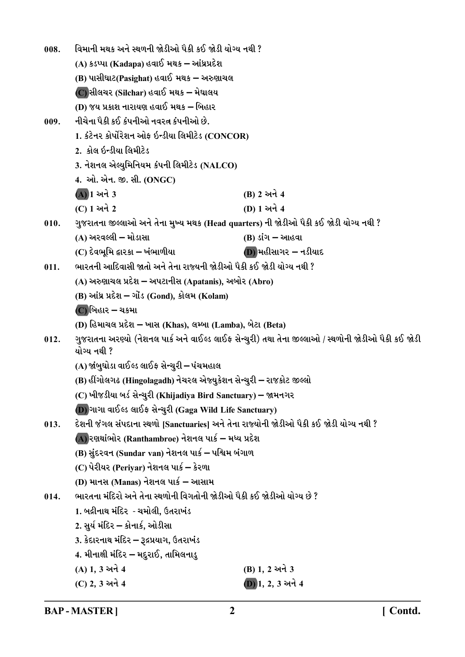વિમાની મથક અને સ્થળની જોડીઓ પૈકી કઈ જોડી યોગ્ય નથી ? 008. (A) કડપ્પા (Kadapa) હવાઈ મથક – આંધ્રપ્રદેશ (B) પાસીઘાટ(Pasighat) હવાઈ મથક – અરુણાચલ (C) સીલચર (Silchar) હવાઈ મથક – મેઘાલય (D) જય પ્રકાશ નારાયણ હવાઈ મથક – બિહાર નીચેના પૈકી કઈ કંપનીઓ નવરત કંપનીઓ છે.  $009.$ 1. કંટેનર કોર્પોરેશન ઓફ ઇન્ડીયા લિમીટેડ (CONCOR) 2. કોલ ઇન્ડીયા લિમીટેડ 3. નેશનલ એલ્યુમિનિયમ કંપની લિમીટેડ (NALCO) 4. ઓ. એન. જી. સી. (ONGC) (A) 1 અને 3 **(B) 2 અને 4**  $(C)$  1 અને 2 (D) 1 અને 4 ગુજરાતના જીલ્લાઓ અને તેના મુખ્ય મથક (Head quarters) ની જોડીઓ પૈકી કઈ જોડી યોગ્ય નથી ?  $010.$ (A) અરવલ્લી – મોડાસા (B) ડાંગ – આહવા (C) દેવભમિ દ્વારકા – ખંભાળીયા  $(D)$ મહીસાગર – નડીયાદ ભારતની આદિવાસી જાતો અને તેના રાજ્યની જોડીઓ પૈકી કઈ જોડી યોગ્ય નથી ?  $011.$ (A) અરુણાચલ પ્રદેશ – અપટાનીસ (Apatanis), અબોર (Abro) (B) આંધ્ર પ્રદેશ – ગોંડ (Gond), કોલમ (Kolam) (C) બિહાર – ચકમા (D) હિમાચલ પ્રદેશ – ખાસ (Khas), લમ્બા (Lamba), બેટા (Beta) ગુજરાતના અરણ્યો (નેશનલ પાર્ક અને વાઈલ્ડ લાઈફ સેન્ચુરી) તથા તેના જીલ્લાઓ / સ્થળોની જોડીઓ પૈકી કઈ જોડી  $012.$ યોગ્ય નથી ? (A) જાંબુઘોડા વાઈલ્ડ લાઈફ સેન્ચુરી – પંચમહાલ (B) હીંગોલગઢ (Hingolagadh) નેચરલ એજ્યુકેશન સેન્ચુરી – રાજકોટ જીલ્લો (C) ખીજડીયા બર્ડ સેન્ચુરી (Khijadiya Bird Sanctuary) – જામનગર D) ગાગા વાઈલ્ડ લાઈફ સેન્ચુરી (Gaga Wild Life Sanctuary) દેશની જંગલ સંપદાના સ્થળો [Sanctuaries] અને તેના રાજ્યોની જોડીઓ પૈકી કઈ જોડી યોગ્ય નથી ?  $013.$ (A) રણથાંભોર (Ranthambroe) નેશનલ પાર્ક – મધ્ય પ્રદેશ (B) સુંદરવન (Sundar van) નેશનલ પાર્ક – પશ્ચિમ બંગાળ (C) પેરીયર (Periyar) નેશનલ પાર્ક – કેરળા (D) માનસ (Manas) નેશનલ પાર્ક – આસામ ભારતના મંદિરો અને તેના સ્થળોની વિગતોની જોડીઓ પૈકી કઈ જોડીઓ યોગ્ય છે ?  $014.$ 1. બદ્રીનાથ મંદિર - ચમોલી. ઉતરાખંડ 2. સુર્ય મંદિર – કોનાર્ક, ઓડીસા 3. કેદારનાથ મંદિર – રૂદ્રપ્રયાગ, ઉતરાખંડ 4. મીનાક્ષી મંદિર – મદુરાઈ, તામિલનાડુ (A) 1, 3 અને 4 (B) 1, 2 અને 3 (C) 2, 3 अने 4  $(D)$  1, 2, 3 અને 4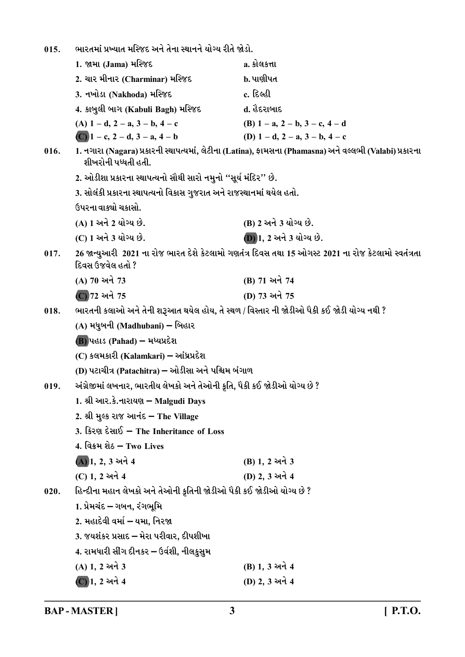ભારતમાં પ્રખ્યાત મસ્જિદ અને તેના સ્થાનને યોગ્ય રીતે જોડો.  $015.$ 1. જામા (Jama) મસ્જિદ <u>a. કોલકત્તા</u> b. પાણીપત**્** 2. ચાર મીનાર (Charminar) મસ્જિદ 3. નખોડા (Nakhoda) મસ્જિદ c. દિલ્હી 4. કાબુલી બાગ (Kabuli Bagh) મસ્જિદ ત. હૈદરાબાદ (B)  $1 - a$ ,  $2 - b$ ,  $3 - c$ ,  $4 - d$ (A)  $1 - d$ ,  $2 - a$ ,  $3 - b$ ,  $4 - c$ (C)  $1 - c$ ,  $2 - d$ ,  $3 - a$ ,  $4 - b$ (D)  $1 - d$ ,  $2 - a$ ,  $3 - b$ ,  $4 - c$ 1. નગારા (Nagara) પ્રકારની સ્થાપત્યમાં, લેટીના (Latina), ફામસના (Phamasna) અને વલ્લભી (Valabi) પ્રકારના  $016.$ શીખરોની પધ્ધતી હતી. 2. ઓડીશા પ્રકારના સ્થાપત્યનો સૌથી સારો નમુનો "સૂર્ય મંદિર" છે. 3. સોલંકી પ્રકારના સ્થાપત્યનો વિકાસ ગુજરાત અને રાજસ્થાનમાં થયેલ હતો. ઉપરના વાક્યો ચકાસો. (A) 1 અને 2 યોગ્ય છે. (B) 2 અને 3 યોગ્ય છે. (C) 1 અને 3 યોગ્ય છે. **D** 1, 2 અને 3 યોગ્ય છે. 26 જાન્યઆરી 2021 ના રોજ ભારત દેશે કેટલામો ગણતંત્ર દિવસ તથા 15 ઓગસ્ટ 2021 ના રોજ કેટલામો સ્વતંત્રતા  $017.$ દિવસ ઉજવેલ હતો ? (B) 71 અને 74 (A) 70 અને 73 (C) 72 અને 75 (D) 73 અને 75 ભારતની કલાઓ અને તેની શરૂઆત થયેલ હોય, તે સ્થળ / વિસ્તાર ની જોડીઓ પૈકી કઈ જોડી યોગ્ય નથી ?  $018.$ (A) મધુબની (Madhubani) – બિહાર  $(B)$ પહાડ (Pahad) – મધ્યપ્રદેશ (C) કલમકારી (Kalamkari) – આંધ્રપ્રદેશ (D) પટાચીત્ર (Patachitra) – ઓડીસા અને પશ્ચિમ બંગાળ અંગ્રેજીમાં લખનાર, ભારતીય લેખકો અને તેઓની કૃતિ, પૈકી કઈ જોડીઓ યોગ્ય છે ?  $019.$ 1. શ્રી આર.કે.નારાયણ – Malgudi Days 2. શ્રી મુલ્ક રાજ આનંદ - The Village 3. કિરણ દેસાઈ - The Inheritance of Loss 4. વિક્રમ શેઠ – Two Lives (A) 1, 2, 3 અને 4 (B) 1, 2 અને 3 (D) 2.3 અને 4 (C) 1. 2 અને 4 હિન્દીના મહાન લેખકો અને તેઓની કૃતિની જોડીઓ પૈકી કઈ જોડીઓ યોગ્ય છે ?  $020.$ 1. પ્રેમચંદ – ગબન, રંગભૂમિ 2. મહાદેવી વર્મા – યમા, નિરજા 3. જયશંકર પ્રસાદ – મેરા પરીવાર, દીપશીખા 4. રામધારી સીંગ દીનકર – ઉર્વશી, નીલકસમ (A) 1, 2 અને 3 (B) 1, 3 અને 4 (D) 2, 3 અને 4  $\overline{C}$ )1, 2 અને 4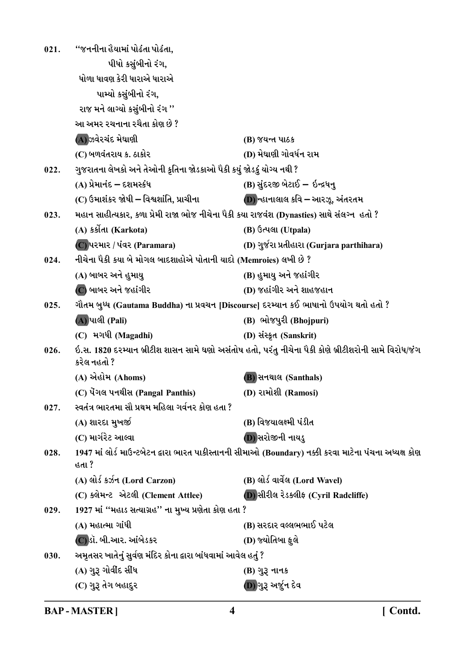| 021. | ''જનનીના હૈયામાં પોઢંતા પોઢંતા,                                                           |                                                                                                        |
|------|-------------------------------------------------------------------------------------------|--------------------------------------------------------------------------------------------------------|
|      | પીધો કસુંબીનો રંગ,                                                                        |                                                                                                        |
|      | ધોળા ધાવણ કેરી ધારાએ ધારાએ                                                                |                                                                                                        |
|      | પામ્યો કસુંબીનો રંગ,                                                                      |                                                                                                        |
|      | રાજ મને લાગ્યો કસુંબીનો રંગ ''                                                            |                                                                                                        |
|      | આ અમર રચનાના રચૈતા કોણ છે ?                                                               |                                                                                                        |
|      | (A)ઝવેરચંદ મેઘાણી                                                                         | (B) જયન્ત પાઠક                                                                                         |
|      | (C) બળવંતરાય ક. ઠાકોર                                                                     | (D) મેઘાણી ગોવર્ધન રામ                                                                                 |
| 022. | ગુજરાતના લેખકો અને તેઓની કૃતિના જોડકાઓ પૈકી કયું જોડકું યોગ્ય નથી ?                       |                                                                                                        |
|      | (A) પ્રેમાનંદ – દશમસ્કંધ                                                                  | (B) સુંદરજી બેટાઈ – ઇન્દ્રધનુ                                                                          |
|      | (C) ઉમાશંકર જોષી – વિશ્વશાંતિ, પ્રાચીના                                                   | <b>D</b> ) ન્હાનાલાલ કવિ – આરઝૂ, અંતરતમ                                                                |
| 023. | મહાન સાહીત્યકાર, કળા પ્રેમી રાજા ભોજ નીચેના પૈકી કયા રાજવંશ (Dynasties) સાથે સંલગ્ન હતો ? |                                                                                                        |
|      | (A) કર્કોતા (Karkota)                                                                     | (B) ઉત્પલા (Utpala)                                                                                    |
|      | (C) પરમાર / પંવર (Paramara)                                                               | (D) ગુર્જરા પ્રતીહારા (Gurjara parthihara)                                                             |
| 024. | નીચેના પૈકી કયા બે મોગલ બાદશાહોએ પોતાની યાદો (Memroies) લખી છે ?                          |                                                                                                        |
|      | (A) બાબર અને હુમાયુ                                                                       | (B) હુમાયુ અને જહાંગીર                                                                                 |
|      | (C) બાબર અને જહાંગીર                                                                      | (D) જહાંગીર અને શાહજહાન                                                                                |
| 025. | ગૌતમ બુધ્ધ (Gautama Buddha) ના પ્રવચન [Discourse] દરમ્યાન કઈ ભાષાનો ઉપયોગ થતો હતો ?       |                                                                                                        |
|      | (A) પાલી (Pali)                                                                           | (B) ભોજપુરી (Bhojpuri)                                                                                 |
|      | (C) મગધી (Magadhi)                                                                        | (D) સંસ્કૃત (Sanskrit)                                                                                 |
| 026. | કરેલ નહતો ?                                                                               | ઇ.સ. 1820 દરમ્યાન બ્રીટીશ શાસન સામે ઘણો અસંતોષ હતો, પરંતુ નીચેના પૈકી કોણે બ્રીટીશરોની સામે વિરોધ/જંગ  |
|      | (A) એહોમ (Ahoms)                                                                          | <b>B</b> ) સનથાલ (Santhals)                                                                            |
|      | (C) पेंगલ पनथीस (Pangal Panthis)                                                          | (D) રામોશી (Ramosi)                                                                                    |
| 027. | સ્વતંત્ર ભારતમા સૌ પ્રથમ મહિલા ગર્વનર કોણ હતા ?                                           |                                                                                                        |
|      | (A) શારદા મુખર્જી                                                                         | (B) વિજયાલક્ષ્મી પંડીત                                                                                 |
|      | (C) માર્ગરેટ આલ્વા                                                                        | (D) સરોજીની નાયડુ                                                                                      |
| 028. | હતા ?                                                                                     | 1947 માં લોર્ડ માઉન્ટબેટન દ્વારા ભારત પાકીસ્તાનની સીમાઓ (Boundary) નક્કી કરવા માટેના પંચના અધ્યક્ષ કોણ |
|      | (A) લોર્ડ કર્ઝન (Lord Carzon)                                                             | (B) લોર્ડ વાર્વેલ (Lord Wavel)                                                                         |
|      | (C) ક્લેમન્ટ એટલી (Clement Attlee)                                                        | (D) સીરીલ રેડક્લીફ (Cyril Radcliffe)                                                                   |
| 029. | 1927 માં ''મહાડ સત્યાગ્રહ'' ના મુખ્ય પ્રણેતા કોણ હતા ?                                    |                                                                                                        |
|      | (A) મહાત્મા ગાંધી                                                                         | (B) સરદાર વલ્લભભાઈ પટેલ                                                                                |
|      | (C)ડૉ. બી.આર. આંબેડકર                                                                     | (D) જ્યોતિબા ફુલે                                                                                      |
| 030. | અમૃતસર ખાતેનું સુર્વણ મંદિર કોના દ્વારા બાંધવામાં આવેલ હતું ?                             |                                                                                                        |
|      | (A) ગુરૂ ગોવીદ સીધ                                                                        | (B) ગુરૂ નાનક                                                                                          |
|      | (C) ગુરૂ તેગ બહાદુર                                                                       | (D)ગુરૂ અર્જુન દેવ                                                                                     |

**BAP-MASTER]**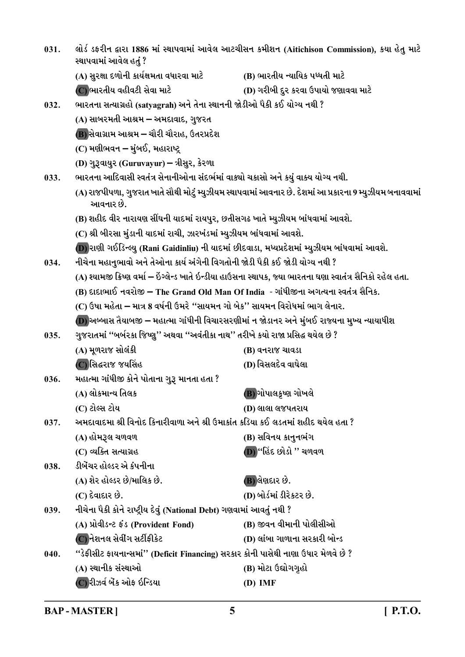| 031. | લોર્ડ ડફરીન દ્વારા 1886 માં સ્થાપવામાં આવેલ આટચીસન કમીશન (Aitichison Commission), કયા હેતુ માટે<br>સ્થાપવામાં આવેલ હતું ? |                                                                                                              |  |
|------|---------------------------------------------------------------------------------------------------------------------------|--------------------------------------------------------------------------------------------------------------|--|
|      | (A) સુરક્ષા દળોની કાર્યક્ષમતા વધારવા માટે                                                                                 | (B) ભારતીય ન્યાયિક પધ્ધતી માટે                                                                               |  |
|      | (C) ભારતીય વહીવટી સેવા માટે                                                                                               | (D) ગરીબી દુર કરવા ઉપાયો જણાવવા માટે                                                                         |  |
| 032. | ભારતના સત્યાગ્રહો (satyagrah) અને તેના સ્થાનની જોડીઓ પૈકી કઈ યોગ્ય નથી ?                                                  |                                                                                                              |  |
|      | (A) સાબરમતી આશ્રમ – અમદાવાદ, ગુજરત                                                                                        |                                                                                                              |  |
|      | (B) સેવાગ્રામ આશ્રમ – ચૌરી ચૌરાહ, ઉતરપ્રદેશ                                                                               |                                                                                                              |  |
|      | (C) મણીભવન – મુંબઈ,  મહારાષ્ટ્ર                                                                                           |                                                                                                              |  |
|      | (D) ગુરૂવાયુર (Guruvayur) – ત્રીસુર, કેરળા                                                                                |                                                                                                              |  |
| 033. | ભારતના આદિવાસી સ્વતંત્ર સેનાનીઓના સંદર્ભમાં વાક્યો ચકાસો અને કયું વાક્ય યોગ્ય નથી.                                        |                                                                                                              |  |
|      | (A) રાજપીપળા, ગુજરાત ખાતે સૌથી મોટું મ્યુઝીયમ સ્થાપવામાં આવનાર છે. દેશમાં આ પ્રકારના 9 મ્યુઝીયમ બનાવવામાં<br>આવનાર છે.    |                                                                                                              |  |
|      | (B) શહીદ વીર નારાયણ સીંઘની યાદમાં રાયપુર, છતીસગઢ ખાતે મ્યુઝીયમ બાંધવામાં આવશે.                                            |                                                                                                              |  |
|      | (C) શ્રી બીરસા મુંડાની યાદમાં રાચી, ઝારખંડમાં મ્યુઝીયમ બાંધવામાં આવશે.                                                    |                                                                                                              |  |
|      |                                                                                                                           | (D) રાણી ગઈડિન્લ્યુ (Rani Gaidinliu) ની યાદમાં છીદવાડા, મધ્યપ્રદેશમાં મ્યુઝીયમ બાંધવામાં આવશે.               |  |
| 034. | નીચેના મહાનુભાવો અને તેઓના કાર્ય અંગેની વિગતોની જોડી પૈકી કઈ જોડી યોગ્ય નથી ?                                             |                                                                                                              |  |
|      |                                                                                                                           | (A) શ્યામજી ક્રિષ્ણ વર્મા – ઇંગ્લેન્ડ ખાતે ઇન્ડીયા હાઉસના સ્થાપક, જ્યા ભારતના ઘણા સ્વાતંત્ર સૈનિકો રહેલ હતા. |  |
|      | (B) દાદાભાઈ નવરોજી – The Grand Old Man Of India  - ગાંધીજીના અગત્યના સ્વતંત્ર સૈનિક.                                      |                                                                                                              |  |
|      | (C) ઉષા મહેતા – માત્ર 8 વર્ષની ઉમરે ''સાયમન ગો બેક'' સાયમન વિરોધમાં ભાગ લેનાર.                                            |                                                                                                              |  |
|      | (D) અબ્બાસ તૈયાબજી – મહાત્મા ગાંધીની વિચારસરણીમાં ન જોડાનર અને મુંબઈ રાજ્યના મુખ્ય ન્યાયાધીશ                              |                                                                                                              |  |
| 035. | ગુજરાતમાં ''બર્બરકા જિષ્ણુ'' અથવા ''અવંતીકા નાથ'' તરીખે કયો રાજા પ્રસિદ્ધ થયેલ છે ?                                       |                                                                                                              |  |
|      | (A) મૂળરાજ સોલંકી                                                                                                         | (B) વનરાજ ચાવડા                                                                                              |  |
|      | (C)સિદ્ધરાજ જયસિંહ                                                                                                        | (D) વિસલદેવ વાઘેલા                                                                                           |  |
| 036. | મહાત્મા ગાંધીજી કોને પોતાના ગુરૂ માનતા હતા ?                                                                              |                                                                                                              |  |
|      | (A) લોકમાન્ય તિલક                                                                                                         | (B) ગોપાલકૃષ્ણ ગોખલે                                                                                         |  |
|      | (C) ટોલ્સ ટોય                                                                                                             | (D) લાલા લજપતરાય                                                                                             |  |
| 037. | અમદાવાદમા શ્રી વિનોદ કિનારીવાળા અને શ્રી ઉમાકાંત કડિયા કઈ લડતમાં શહીદ થયેલ હતા ?                                          |                                                                                                              |  |
|      | (A) હોમરૂલ ચળવળ                                                                                                           | (B) સવિનય કાનુનભંગ                                                                                           |  |
|      | (C) વ્યક્તિ સત્યાગ્રહ                                                                                                     | (D) "હિંદ છોડો " ચળવળ                                                                                        |  |
| 038. | ડીબેંચર હોલ્ડર એ કંપનીના                                                                                                  |                                                                                                              |  |
|      | (A) શેર હોલ્ડર છે/માલિક છે.                                                                                               | (B) લેણદાર છે.                                                                                               |  |
|      | (C) દેવાદાર છે.                                                                                                           | (D) બોર્ડમાં ડીરેકટર છે.                                                                                     |  |
| 039. | નીચેના પૈકી કોને રાષ્ટ્રીય દેવું (National Debt) ગણવામાં આવતું નથી ?                                                      |                                                                                                              |  |
|      | (A) પ્રોવીડન્ટ ફંડ (Provident Fond)                                                                                       | (B) જીવન વીમાની પોલીસીઓ                                                                                      |  |
|      | (C) નેશનલ સેવીંગ સર્ટીફીકેટ                                                                                               | (D) લાંબા ગાળાના સરકારી બોન્ડ                                                                                |  |
| 040. | ''ડેફીસીટ ફાયનાન્સમાં'' (Deficit Financing) સરકાર કોની પાસેથી નાણા ઉધાર મેળવે છે ?                                        |                                                                                                              |  |
|      | (A) સ્થાનીક સંસ્થાઓ                                                                                                       | (B) મોટા ઉદ્યોગગૃહો                                                                                          |  |
|      | (C) રીઝર્વ બેંક ઓફ ઇન્ડિયા                                                                                                | $(D)$ IMF                                                                                                    |  |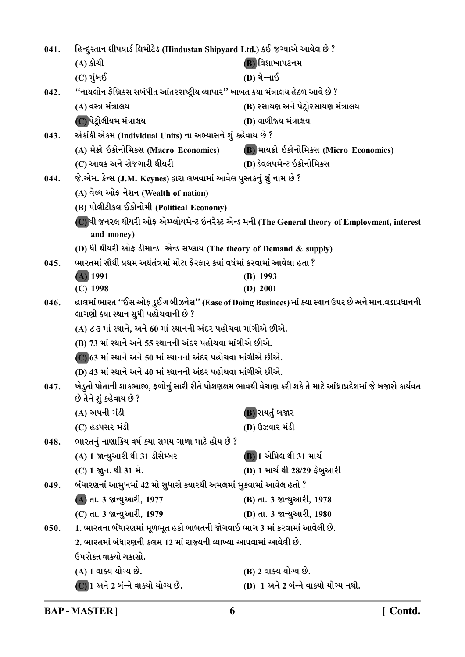| 041. | હિન્દુસ્તાન શીપયાર્ડ લિમીટેડ (Hindustan Shipyard Ltd.) કઈ જગ્યાએ આવેલ છે ?                                                                  |                                                                                                               |  |
|------|---------------------------------------------------------------------------------------------------------------------------------------------|---------------------------------------------------------------------------------------------------------------|--|
|      | (A) કોચી                                                                                                                                    | (B) વિશાખાપટનમ                                                                                                |  |
|      | (C) મુંબઈ                                                                                                                                   | (D) ચેન્નાઈ                                                                                                   |  |
| 042. | ''નાયલોન ફેબ્રિકસ સબંધીત આંતરરાષ્ટ્રીય વ્યાપાર'' બાબત કયા મંત્રાલય હેઠળ આવે છે ?                                                            |                                                                                                               |  |
|      | (A) વસ્ત્ર મંત્રાલય                                                                                                                         | (B) રસાયણ અને પેટ્રોરસાયણ મંત્રાલય                                                                            |  |
|      | (C)પેટ્રોલીયમ મંત્રાલય                                                                                                                      | (D) વાણીજ્ય મંત્રાલય                                                                                          |  |
| 043. | એકાંકી એકમ (Individual Units) ના અભ્યાસને શું કહેવાય છે ?                                                                                   |                                                                                                               |  |
|      | (A) મેક્રો ઇકોનોમિક્સ (Macro Economics)                                                                                                     | (B) માયક્રો ઇકોનોમિક્સ (Micro Economics)                                                                      |  |
|      | (C) આવક અને રોજગારી થીયરી                                                                                                                   | (D) ડેવલપમેન્ટ ઇકોનોમિક્સ                                                                                     |  |
| 044. | જે.એમ. કેન્સ (J.M. Keynes) દ્વારા લખવામાં આવેલ પુસ્તકનું શું નામ છે ?                                                                       |                                                                                                               |  |
|      | (A) વેલ્થ ઓફ નેશન (Wealth of nation)                                                                                                        |                                                                                                               |  |
|      | (B) પોલીટીકલ ઈકોનોમી (Political Economy)                                                                                                    |                                                                                                               |  |
|      |                                                                                                                                             | (C)ધી જનરલ થીયરી ઓફ એમ્પ્લોયમેન્ટ ઇનરેસ્ટ એન્ડ મની (The General theory of Employment, interest                |  |
|      | and money)                                                                                                                                  |                                                                                                               |  |
|      | (D) ધી થીયરી ઓફ ડીમાન્ડ એન્ડ સપ્લાય (The theory of Demand & supply)                                                                         |                                                                                                               |  |
| 045. | ભારતમાં સૌથી પ્રથમ અર્થતંત્રમાં મોટા ફેરફાર ક્યાં વર્ષમાં કરવામાં આવેલા હતા ?                                                               |                                                                                                               |  |
|      | $(A)$ 1991                                                                                                                                  | $(B)$ 1993                                                                                                    |  |
|      | $(C)$ 1998                                                                                                                                  | (D) 2001                                                                                                      |  |
| 046. | હાલમાં ભારત ''ઈસ ઓફ ડુઈગ બીઝનેસ'' (Ease of Doing Businees) માં ક્યા સ્થાન ઉપર છે અને માન.વડાપ્રધાનની<br>લાગણી ક્યા સ્થાન સુધી પહોચવાની છે ? |                                                                                                               |  |
|      | (A) ૮૩ માં સ્થાને, અને 60 માં સ્થાનની અંદર પહોચવા માંગીએ છીએ.                                                                               |                                                                                                               |  |
|      | (B) 73 માં સ્થાને અને 55 સ્થાનની અંદર પહોચવા માંગીએ છીએ.                                                                                    |                                                                                                               |  |
|      | $(C)$ 63 માં સ્થાને અને 50 માં સ્થાનની અંદર પહોચવા માંગીએ છીએ.                                                                              |                                                                                                               |  |
|      | (D) 43 માં સ્થાને અને 40 માં સ્થાનની અંદર પહોચવા માંગીએ છીએ.                                                                                |                                                                                                               |  |
| 047. | છે તેને શું કહેવાય છે ?                                                                                                                     | ખેડુતો પોતાની શાકભાજી, ફળોનું સારી રીતે પોશણક્ષમ ભાવથી વેચાણ કરી શકે તે માટે આંધ્રાપ્રદેશમાં જે બજારો કાર્યવત |  |
|      | (A) અપની મંડી                                                                                                                               | (B) રાયતું બજાર                                                                                               |  |
|      | (C) હડપસર મંડી                                                                                                                              | (D) ઉઝવાર મંડી                                                                                                |  |
| 048. | ભારતનું નાણાકિય વર્ષ ક્યા સમય ગાળા માટે હોય છે ?                                                                                            |                                                                                                               |  |
|      | (A) 1 જાન્યુઆરી થી 31 ડીસેમ્બર                                                                                                              | (B) 1 એપ્રિલ થી 31 માર્ચ                                                                                      |  |
|      | (C) 1 જ્ષન. થી 31 મે.                                                                                                                       | (D) 1 માર્ચ થી 28/29 ફેબુઆરી                                                                                  |  |
| 049. | બંધારણનાં આમુખમાં 42 મો સુધારો ક્યારથી અમલમાં મુકવામાં આવેલ હતો ?                                                                           |                                                                                                               |  |
|      | (A) તા. 3 જાન્યુઆરી, 1977                                                                                                                   | (B) તા. 3 જાન્યુઆરી, 1978                                                                                     |  |
|      | (C) તા. 3 જાન્યુઆરી, 1979                                                                                                                   | (D) તા. 3 જાન્યુઆરી, 1980                                                                                     |  |
| 050. | 1. ભારતના બંધારણમાં મૂળભૂત હકો બાબતની જોગવાઈ ભાગ 3 માં કરવામાં આવેલી છે.                                                                    |                                                                                                               |  |
|      | 2. ભારતમાં બંધારણની કલમ 12 માં રાજ્યની વ્યાખ્યા આપવામાં આવેલી છે.                                                                           |                                                                                                               |  |
|      | ઉપરોક્ત વાક્યો ચકાસો.                                                                                                                       |                                                                                                               |  |
|      | (A) 1 વાક્ય યોગ્ય છે.                                                                                                                       | (B) 2 વાક્ય યોગ્ય છે.                                                                                         |  |
|      | $(C)$ 1 અને 2 બંન્ને વાક્યો યોગ્ય છે.                                                                                                       | (D) 1 અને 2 બંન્ને વાક્યો યોગ્ય નથી.                                                                          |  |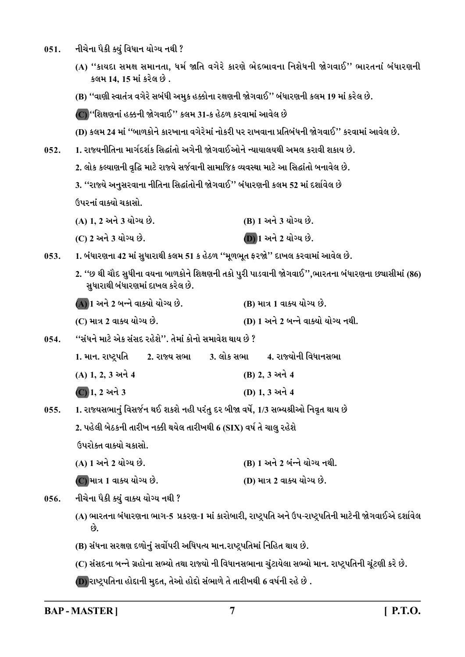- નીચેના પૈકી ક્યું વિધાન યોગ્ય નથી ?  $051.$ 
	- (A) "કાયદા સમક્ષ સમાનતા, ધર્મ જાતિ વગેરે કારણે ભેદભાવના નિશેધની જોગવાઈ" ભારતનાં બંધારણની કલમ 14, 15 માં કરેલ છે.
	- (B) ''વાણી સ્વાતંત્ર વગેરે સબંધી અમુક હક્કોના રક્ષણની જોગવાઈ'' બંધારણની કલમ 19 માં કરેલ છે.

(C) ''શિક્ષણનાં હક્કની જોગવાઈ'' કલમ 31-ક હેઠળ કરવામાં આવેલ છે

- (D) કલમ 24 માં ''બાળકોને કારખાના વગેરેમાં નોકરી પર રાખવાના પ્રતિબંધની જોગવાઈ'' કરવામાં આવેલ છે.
- 1. રાજ્યનીતિના માર્ગદર્શક સિદ્ધાંતો અગેની જોગવાઈઓને ન્યાયાલયથી અમલ કરાવી શકાય છે.  $052.$ 
	- 2. લોક કલ્યાણની વૃદ્ધિ માટે રાજ્યે સર્જવાની સામાજિક વ્યવસ્થા માટે આ સિદ્ધાંતો બનાવેલ છે.
	- 3. ''રાજ્યે અનુસરવાના નીતિના સિદ્ધાંતોની જોગવાઈ'' બંધારણની કલમ 52 માં દર્શાવેલ છે

ઉપરનાં વાક્યો ચકાસો

| (A) 1, 2 અને 3 યોગ્ય છે. | (B) 1 અને 3 યોગ્ય છે. |
|--------------------------|-----------------------|
| (C) 2 અને 3 યોગ્ય છે.    | (D) 1 અને 2 યોગ્ય છે. |

1. બંધારણના 42 માં સુધારાથી કલમ 51 ક હેઠળ ''મૂળભૂત ફરજો'' દાખલ કરવામાં આવેલ છે.  $053.$ 

- 2. ''છ થી ચૌદ સુધીના વયના બાળકોને શિક્ષણની તકો પુરી પાડવાની જોગવાઈ'',ભારતના બંધારણના છચાસીમાં (86) સુધારાથી બંધારણમાં દાખલ કરેલ છે.
- (A) 1 અને 2 બન્ને વાક્યો યોગ્ય છે. (B) માત્ર 1 વાક્ય યોગ્ય છે.
- (C) માત્ર 2 વાક્ય યોગ્ય છે. (D) 1 અને 2 બન્ને વાક્યો યોગ્ય નથી.
- ''સંધને માટે એક સંસદ રહેશે''. તેમાં કોનો સમાવેશ થાય છે ?  $0.54$ .
	- 1. માન. રાષ્ટપતિ 2. રાજ્ય સભા
	- (A) 1, 2, 3 અને 4 (B) 2.3 અને 4
	- $\overline{C}$ ) 1, 2 અને 3 (D) 1.3 અને 4
- 1. રાજ્યસભાનું વિસર્જન થઈ શકશે નહી પરંતુ દર બીજા વર્ષે, 1/3 સભ્યશ્રીઓ નિવૃત થાય છે  $0.55.$

2. પહેલી બેઠકની તારીખ નક્કી થયેલ તારીખથી 6 (SIX) વર્ષ તે ચાલુ રહેશે

ઉપરોક્ત વાક્યો ચકાસો.

- (B) 1 અને 2 બંન્ને યોગ્ય નથી. (A) 1 અને 2 યોગ્ય છે.
- (C) માત્ર 1 વાક્ય યોગ્ય છે. (D) માત્ર 2 વાક્ય યોગ્ય છે.
- નીચેના પૈકી ક્યું વાક્ય યોગ્ય નથી ?  $0.56.$ 
	- (A) ભારતના બંધારણના ભાગ-5 પ્રકરણ-1 માં કારોબારી, રાષ્ટ્રપતિ અને ઉપ-રાષ્ટ્રપતિની માટેની જોગવાઈએ દર્શાવેલ છે.
	- (B) સંધના સરક્ષણ દળોનું સર્વોપરી અધિપત્ય માન.રાષ્ટ્રપતિમાં નિહિત થાય છે.
	- (C) સંસદના બન્ને ગ્રહોના સભ્યો તથા રાજ્યો ની વિધાનસભાના ચુંટાયેલા સભ્યો માન. રાષ્ટ્રપતિની ચૂંટણી કરે છે.
	- (D) રાષ્ટ્રપતિના હોદ્દાની મુદત, તેઓ હોદ્દો સંભાળે તે તારીખથી 6 વર્ષની રહે છે .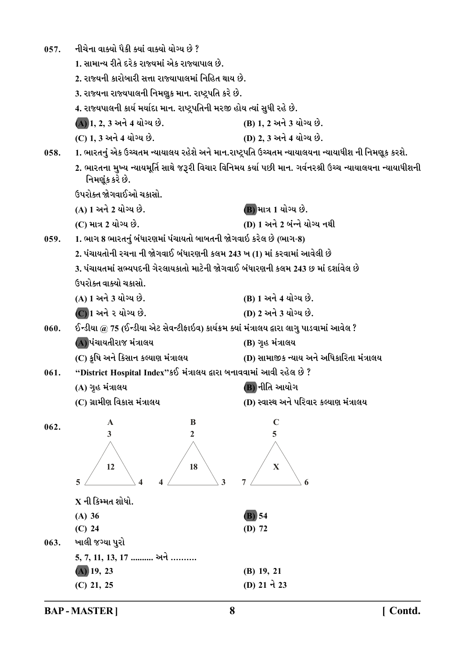| 057. | નીચેના વાક્યો પૈકી ક્યાં વાક્યો યોગ્ય છે ?                                                 |                                                                                                           |
|------|--------------------------------------------------------------------------------------------|-----------------------------------------------------------------------------------------------------------|
|      | 1. સામાન્ય રીતે દરેક રાજ્યમાં એક રાજ્યાપાલ છે.                                             |                                                                                                           |
|      | 2. રાજ્યની કારોબારી સત્તા રાજ્યાપાલમાં નિહિત થાય છે.                                       |                                                                                                           |
|      | 3. રાજ્યના રાજ્યપાલની નિમણુક માન. રાષ્ટ્રપતિ કરે છે.                                       |                                                                                                           |
|      | 4. રાજ્યપાલની કાર્ય મર્યાદા માન. રાષ્ટ્રપતિની મરજી હોય ત્યાં સુધી રહે છે.                  |                                                                                                           |
|      | (A) 1, 2, 3 અને 4 યોગ્ય છે.                                                                | (B) 1, 2 અને 3 યોગ્ય છે.                                                                                  |
|      | (C) 1, 3 અને 4 યોગ્ય છે.                                                                   | (D) 2, 3 અને 4 યોગ્ય છે.                                                                                  |
| 058. |                                                                                            | 1. ભારતનું એક ઉચ્ચતમ ન્યાયાલય રહેશે અને માન.રાષ્ટ્રપતિ ઉચ્ચતમ ન્યાયાલયના ન્યાયાધીશ ની નિમણૂક કરશે.        |
|      | નિમણૂંક કરે છે.                                                                            | 2. ભારતના મુખ્ય ન્યાયમૂર્તિ સાથે જરૂરી વિચાર વિનિમય કર્યા પછી માન. ગર્વનરશ્રી ઉચ્ચ ન્યાયાલયના ન્યાયાધીશની |
|      | ઉપરોક્ત જોગવાઈઓ ચકાસો.                                                                     |                                                                                                           |
|      | (A) 1 અને 2 યોગ્ય છે.                                                                      | (B) માત્ર 1 યોગ્ય છે.                                                                                     |
|      | (C) માત્ર 2 યોગ્ય છે.                                                                      | (D) 1 અને 2 બંન્ને યોગ્ય નથી                                                                              |
| 059. | 1. ભાગ 8 ભારતનું બંધારણમાં પંચાયતો બાબતની જોગવાઇ કરેલ છે (ભાગ-8)                           |                                                                                                           |
|      | 2. પંચાયતોની રચના ની જોગવાઈ બંધારણની કલમ 243 ખ (1) માં કરવામાં આવેલી છે                    |                                                                                                           |
|      | 3. પંચાયતમાં સભ્યપદની ગેરલાયકાતો માટેની જોગવાઈ બંધારણની કલમ 243 છ માં દર્શાવેલ છે          |                                                                                                           |
|      | ઉપરોક્ત વાક્યો ચકાસો.                                                                      |                                                                                                           |
|      | (A) 1 અને 3 યોગ્ય છે.                                                                      | (B) 1 અને 4 યોગ્ય છે.                                                                                     |
|      | $\overline{C}$ ) 1 અને ૨ યોગ્ય છે.                                                         | (D) 2 અને 3 યોગ્ય છે.                                                                                     |
| 060. | ઈન્ડીયા @ 75 (ઈન્ડીયા એટ સેવન્ટીફાઇવ) કાર્યક્રમ ક્યાં મંત્રાલય દ્વારા લાગુ પાડવામાં આવેલ ? |                                                                                                           |
|      | (A) પંચાયતીરાજ મંત્રાલય                                                                    | (B) ગૃહ મંત્રાલય                                                                                          |
|      | (C) કૃષિ અને કિસાન કલ્યાણ મંત્રાલય                                                         | (D) સામાજીક ન્યાય અને અધિકારિતા મંત્રાલય                                                                  |
| 061. | "District Hospital Index"કઈ મંત્રાલય દ્વારા બનાવવામાં આવી રહેલ છે ?                        |                                                                                                           |
|      | (A) ગૃહ મંત્રાલય                                                                           | (B) નીતિ આયોગ                                                                                             |
|      | (C) ગ્રામીણ વિકાસ મંત્રાલય                                                                 | (D) સ્વાસ્થ અને પરિવાર કલ્યાણ મંત્રાલય                                                                    |
| 062. | B<br>A                                                                                     | $\mathbf C$                                                                                               |
|      | 3<br>2                                                                                     | 5                                                                                                         |
|      |                                                                                            |                                                                                                           |
|      | 12<br>18                                                                                   | $\mathbf X$                                                                                               |
|      | 5<br>3<br>4<br>4                                                                           | 7<br>6                                                                                                    |
|      | $X$ ની કિમ્મત શોધો.                                                                        |                                                                                                           |
|      | $(A)$ 36                                                                                   | $(B)$ 54                                                                                                  |
|      | $(C)$ 24                                                                                   | $(D)$ 72                                                                                                  |
| 063. | ખાલી જગ્યા પુરો                                                                            |                                                                                                           |
|      | 5, 7, 11, 13, 17  અને                                                                      |                                                                                                           |
|      | $(A)$ 19, 23                                                                               | $(B)$ 19, 21                                                                                              |
|      | $(C)$ 21, 25                                                                               | (D) 21 ને 23                                                                                              |

**BAP-MASTER]**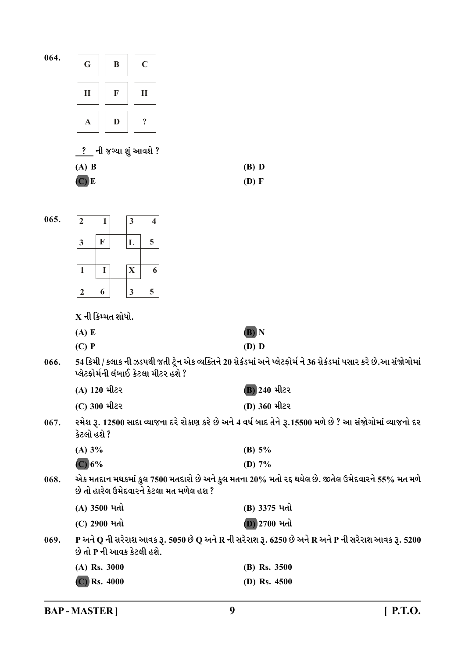| 064. | $\mathbf C$<br>G<br>B                                                                                                                      |                                                                                                                  |
|------|--------------------------------------------------------------------------------------------------------------------------------------------|------------------------------------------------------------------------------------------------------------------|
|      | H<br>F<br>H                                                                                                                                |                                                                                                                  |
|      | $\ddot{\cdot}$<br>D<br>$\mathbf A$                                                                                                         |                                                                                                                  |
|      | ? ની જગ્યા શું આવશે ?                                                                                                                      |                                                                                                                  |
|      | $(A)$ B                                                                                                                                    | $(B)$ D                                                                                                          |
|      | $(C)$ E                                                                                                                                    | $(D)$ F                                                                                                          |
|      |                                                                                                                                            |                                                                                                                  |
| 065. | $\overline{2}$<br>$\mathbf{3}$<br>$\mathbf{1}$<br>4                                                                                        |                                                                                                                  |
|      | 5<br>$\mathbf F$<br>$\mathbf{3}$<br>L                                                                                                      |                                                                                                                  |
|      |                                                                                                                                            |                                                                                                                  |
|      | $\bf{I}$<br>X<br>6<br>1                                                                                                                    |                                                                                                                  |
|      | 5<br>6<br>$\mathbf{3}$<br>$\boldsymbol{2}$                                                                                                 |                                                                                                                  |
|      |                                                                                                                                            |                                                                                                                  |
|      | $X$ ની કિમ્મત શોધો.                                                                                                                        |                                                                                                                  |
|      | (A) E<br>$(C)$ P                                                                                                                           | (B) N<br>$(D)$ D                                                                                                 |
| 066. | પ્લેટફોર્મની લંબાઈ કેટલા મીટર હશે ?                                                                                                        | 54 કિમી / કલાક ની ઝડપથી જતી ટ્રેન એક વ્યક્તિને 20 સેકંડમાં અને પ્લેટફોર્મ ને 36 સેકંડમાં પસાર કરે છે.આ સંજોગોમાં |
|      | (A) 120 મીટર                                                                                                                               | <b>B) 240 મીટર</b>                                                                                               |
|      | (C) 300 મીટર                                                                                                                               | (D) 360 મીટર                                                                                                     |
| 067. | કેટલો હશે ?                                                                                                                                | રમેશ રૂ. 12500 સાદા વ્યાજના દરે રોકાણ કરે છે અને 4 વર્ષ બાદ તેને રૂ.15500 મળે છે ? આ સંજોગોમાં વ્યાજનો દર        |
|      | (A) 3%                                                                                                                                     | (B) $5%$                                                                                                         |
|      | (C) 6%                                                                                                                                     | (D) $7%$                                                                                                         |
| 068. | એક મતદાન મથકમાં કુલ 7500 મતદારો છે અને કુલ મતના 20% મતો રદ થયેલ છે. જીતેલ ઉમેદવારને 55% મત મળે<br>છે તો હારેલ ઉમેદવારને કેટલા મત મળેલ હશ ? |                                                                                                                  |
|      | (A) 3500 મતો                                                                                                                               | (B) 3375 મતો                                                                                                     |
|      | (C) 2900 મતો                                                                                                                               | $(D)$ 2700 મતો                                                                                                   |
| 069. | છે તો P ની આવક કેટલી હશે.                                                                                                                  | P અને Q ની સરેરાશ આવક રૂ. 5050 છે Q અને R ની સરેરાશ રૂ. 6250 છે અને R અને P ની સરેરાશ આવક રૂ. 5200               |
|      | (A) Rs. 3000                                                                                                                               | (B) Rs. 3500                                                                                                     |
|      | $(C)$ Rs. 4000                                                                                                                             | (D) Rs. $4500$                                                                                                   |

**BAP-MASTER]**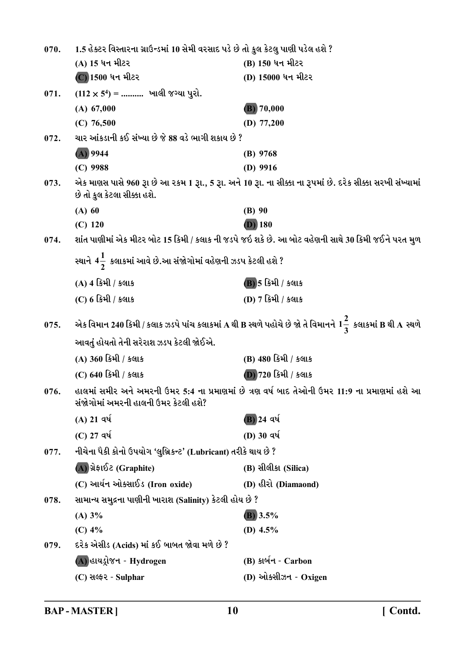| 070. | 1.5 હેક્ટર વિસ્તારના ગ્રાઉન્ડમાં 10 સેમી વરસાદ પડે છે તો કુલ કેટલુ પાણી પડેલ હશે ?                                                         |                                                                                                                    |
|------|--------------------------------------------------------------------------------------------------------------------------------------------|--------------------------------------------------------------------------------------------------------------------|
|      | (A) 15 ધન મીટર                                                                                                                             | (B) 150 ધન મીટર                                                                                                    |
|      | (C) 1500 ધન મીટર                                                                                                                           | (D) 15000 ધન મીટર                                                                                                  |
| 071. | $(112 \times 5^4)$ =  ખાલી જગ્યા પુરો.                                                                                                     |                                                                                                                    |
|      | $(A)$ 67,000                                                                                                                               | $(B)$ 70,000                                                                                                       |
|      | $(C)$ 76,500                                                                                                                               | (D) $77,200$                                                                                                       |
| 072. | ચાર આંકડાની કઈ સંખ્યા છે જે 88 વડે ભાગી શકાય છે ?                                                                                          |                                                                                                                    |
|      | $(A)$ 9944                                                                                                                                 | $(B)$ 9768                                                                                                         |
|      | $(C)$ 9988                                                                                                                                 | $(D)$ 9916                                                                                                         |
| 073. | એક માણસ પાસે 960 રૂા છે આ ૨કમ 1 રૂા., 5 રૂા. અને 10 રૂા. ના સીક્કા ના રૂપમાં છે. દરેક સીક્કા સરખી સંખ્યામાં<br>છે તો કુલ કેટલા સીક્કા હશે. |                                                                                                                    |
|      | $(A)$ 60                                                                                                                                   | $(B)$ 90                                                                                                           |
|      | $(C)$ 120                                                                                                                                  | $(D)$ 180                                                                                                          |
| 074. |                                                                                                                                            | શાંત પાણીમાં એક મીટર બોટ 15 કિમી / કલાક ની જડપે જઇ શકે છે. આ બોટ વહેણની સાથે 30 કિમી જઈને પરત મુળ                  |
|      | સ્થાને 4 $\frac{1}{2}$ કલાકમાં આવે છે.આ સંજોગોમાં વહેણની ઝડપ કેટલી હશે ?                                                                   |                                                                                                                    |
|      | (A) 4 કિમી / કલાક                                                                                                                          | (B) 5 કિમી / કલાક                                                                                                  |
|      | (C) 6 કિમી / કલાક                                                                                                                          | (D) 7 કિમી / કલાક                                                                                                  |
| 075. |                                                                                                                                            | એક વિમાન 240 કિમી / કલાક ઝડપે પાંચ કલાકમાં A થી B સ્થળે પહોચે છે જો તે વિમાનને $1\frac{2}{3}$ કલાકમાં B થી A સ્થળે |
|      | આવતું હોયતો તેની સરેરાશ ઝડપ કેટલી જોઈએ.                                                                                                    |                                                                                                                    |
|      | (A) 360 કિમી / કલાક                                                                                                                        | (B) 480 કિમી / કલાક                                                                                                |
|      | (C) 640 કિમી / કલાક                                                                                                                        | (D) 720 કિમી / કલાક                                                                                                |
| 076. | હાલમાં સમીર અને અમરની ઉમર 5:4 ના પ્રમાણમાં છે ત્રણ વર્ષ બાદ તેઓની ઉમર 11:9 ના પ્રમાણમાં હશે આ<br>સંજોગોમાં અમરની હાલની ઉમર કેટલી હશે?      |                                                                                                                    |
|      | $(A)$ 21 વર્ષ                                                                                                                              | (B) 24 વર્ષ                                                                                                        |
|      | $(C)$ 27 વર્ષ                                                                                                                              | (D) 30 $q\acute{q}$                                                                                                |
| 077. | નીચેના પૈકી કોનો ઉપયોગ 'લુબ્રિકન્ટ' (Lubricant) તરીકે થાય છે ?                                                                             |                                                                                                                    |
|      | (A) ગ્રેફાઈટ (Graphite)                                                                                                                    | (B) સીલીકા (Silica)                                                                                                |
|      | (C) આર્યન ઓક્સાઈડ (Iron oxide)                                                                                                             | (D) હીરો (Diamaond)                                                                                                |
| 078. | સામાન્ય સમુદ્રના પાણીની ખારાશ (Salinity) કેટલી હોય છે ?                                                                                    |                                                                                                                    |
|      | (A) 3%                                                                                                                                     | $(B)$ 3.5%                                                                                                         |
|      | $(C)$ 4%                                                                                                                                   | (D) $4.5\%$                                                                                                        |
| 079. | દરેક એસીડ (Acids) માં કઈ બાબત જોવા મળે છે ?                                                                                                |                                                                                                                    |
|      | (A) હાયડ્રોજન - Hydrogen                                                                                                                   | (B) કાર્બન - Carbon                                                                                                |
|      | (C) સલ્ફર - Sulphar                                                                                                                        | (D) ઓક્સીઝન - Oxigen                                                                                               |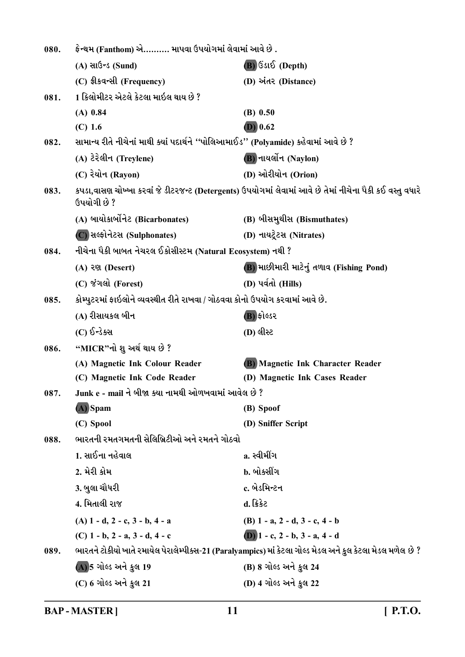| 080. | ફેન્થમ (Fanthom) એ………. માપવા ઉપયોગમાં લેવામાં આવે છે .                               |                                                                                                             |
|------|--------------------------------------------------------------------------------------|-------------------------------------------------------------------------------------------------------------|
|      | $(A)$ સાઉન્ડ (Sund)                                                                  | $(B)$ ઉડાઈ (Depth)                                                                                          |
|      | (C) ईी sa-सी (Frequency)                                                             | (D) અંતર (Distance)                                                                                         |
| 081. | 1 કિલોમીટર એટલે કેટલા માઇલ થાય છે ?                                                  |                                                                                                             |
|      | $(A)$ 0.84                                                                           | $(B)$ 0.50                                                                                                  |
|      | $(C)$ 1.6                                                                            | $(D)$ 0.62                                                                                                  |
| 082. | સામાન્ય રીતે નીચેનાં માથી ક્યાં પદાર્થને ''પોલિઆમાઈડ'' (Polyamide) કહેવામાં આવે છે ? |                                                                                                             |
|      | (A) ટેરેલીન (Treylene)                                                               | <b>B</b> ) નાયર્લોન (Naylon)                                                                                |
|      | (C) રેયોન (Rayon)                                                                    | (D) ઓરીયોન (Orion)                                                                                          |
| 083. | ઉપયોગી છે ?                                                                          | કપડા,વાસણ ચોખ્ખા કરવાં જે ડીટરજન્ટ (Detergents) ઉપયોગમાં લેવામાં આવે છે તેમાં નીચેના પૈકી કઈ વસ્તુ વધારે    |
|      | (A) બાયોકાર્બોનેટ (Bicarbonates)                                                     | (B) બીસમુથીસ (Bismuthates)                                                                                  |
|      | (C) સલ્ફોનેટસ (Sulphonates)                                                          | (D) નાયટ્રેટસ (Nitrates)                                                                                    |
| 084. | નીચેના પૈકી બાબત નેચરલ ઈકોસીસ્ટમ (Natural Ecosystem) નથી ?                           |                                                                                                             |
|      | (A) २९१ (Desert)                                                                     | (B) માછીમારી માટેનું તળાવ (Fishing Pond)                                                                    |
|      | (C) જંગલો (Forest)                                                                   | (D) પર્વતો (Hills)                                                                                          |
| 085. | કોમ્પુટરમાં ફાઇલોને વ્યવસ્થીત રીતે રાખવા / ગોઠવવા કોનો ઉપયોગ કરવામાં આવે છે.         |                                                                                                             |
|      | (A) રીસાયકલ બીન                                                                      | (B) ફોલ્ડર                                                                                                  |
|      | (C) ઈન્ડેક્સ                                                                         | (D) લીસ્ટ                                                                                                   |
| 086. | "MICR"નો શુ અર્થ થાય છે ?                                                            |                                                                                                             |
|      | (A) Magnetic Ink Colour Reader                                                       | (B) Magnetic Ink Character Reader                                                                           |
|      | (C) Magnetic Ink Code Reader                                                         | (D) Magnetic Ink Cases Reader                                                                               |
| 087. | Junk e - mail ને બીજા ક્યા નામથી ઓળખવામાં આવેલ છે ?                                  |                                                                                                             |
|      | (A) Spam                                                                             | (B) Spoof                                                                                                   |
|      | (C) Spool                                                                            | (D) Sniffer Script                                                                                          |
| 088. | ભારતની રમતગમતની સેલિબ્રિટીઓ અને રમતને ગોઠવો                                          |                                                                                                             |
|      | 1. સાઈના નહેવાલ                                                                      | a. સ્વીમીંગ                                                                                                 |
|      | 2. મેરી કોમ                                                                          | b. બોક્સીંગ                                                                                                 |
|      | 3. બુલા ચૌધરી                                                                        | c. બેડમિન્ટન                                                                                                |
|      | 4. મિતાલી રાજ                                                                        | d. ક્રિકેટ                                                                                                  |
|      | $(A)$ 1 - d, 2 - c, 3 - b, 4 - a                                                     | (B) $1 - a$ , $2 - d$ , $3 - c$ , $4 - b$                                                                   |
|      | (C) $1 - b$ , $2 - a$ , $3 - d$ , $4 - c$                                            | (D) $1 - c$ , $2 - b$ , $3 - a$ , $4 - d$                                                                   |
| 089. |                                                                                      | ભારતને ટોકીયો ખાતે રમાયેલ પેરાલેમ્પીક્સ-21 (Paralyampics) માં કેટલા ગોલ્ડ મેડલ અને કુલ કેટલા મેડલ મળેલ છે ? |
|      | (A) 5 ગોલ્ડ અને કુલ 19                                                               | (B) 8 ગોલ્ડ અને કુલ 24                                                                                      |
|      | (C) 6 ગોલ્ડ અને કુલ 21                                                               | (D) 4 ગોલ્ડ અને કુલ 22                                                                                      |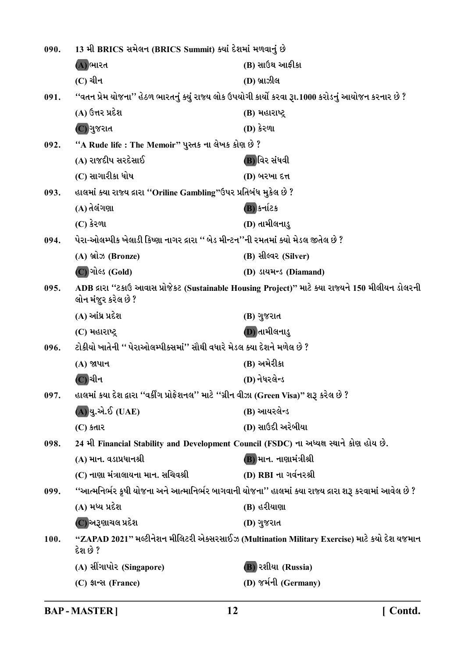| 090. | 13 મી BRICS સમેલન (BRICS Summit) ક્યાં દેશમાં મળવાનું છે                                   |                                                                                                        |
|------|--------------------------------------------------------------------------------------------|--------------------------------------------------------------------------------------------------------|
|      | (A) ભારત                                                                                   | (B) સાઉથ આફીકા                                                                                         |
|      | (C) ચીન                                                                                    | (D) બ્રાઝીલ                                                                                            |
| 091. |                                                                                            | ''વતન પ્રેમ યોજના'' હેઠળ ભારતનું ક્યું રાજ્ય લોક ઉપયોગી કાર્યો કરવા રૂા.1000 કરોડનું આયોજન કરનાર છે ?  |
|      | (A) ઉત્તર પ્રદેશ                                                                           | (B) મહારાષ્ટ્ર                                                                                         |
|      | (C) ગુજરાત                                                                                 | (D) કેરળા                                                                                              |
| 092. | "A Rude life : The Memoir" પુસ્તક ના લેખક કોણ છે ?                                         |                                                                                                        |
|      | (A) રાજદીપ સરદેસાઈ                                                                         | (B)વિર સંધવી                                                                                           |
|      | (C) સાગારીકા ધોષ                                                                           | (D) બરખા દત્ત                                                                                          |
| 093. | હાલમાં ક્યા રાજ્ય દ્રારા "Oriline Gambling"ઉપર પ્રતિબંધ મુકેલ છે ?                         |                                                                                                        |
|      | (A) તેલંગણા                                                                                | (B) કર્નાટક                                                                                            |
|      | $(C)$ કેરળા                                                                                | (D) તામીલનાડુ                                                                                          |
| 094. | પેરા-ઓલમ્પીક ખેલાડી કિષ્ણા નાગર દ્રારા '' બેડ મીન્ટન''ની રમતમાં ક્યો મેડલ જીતેલ છે ?       |                                                                                                        |
|      | (A) બ્રોઝ (Bronze)                                                                         | (B) સીલ્વર (Silver)                                                                                    |
|      | (C) ગોલ્ડ (Gold)                                                                           | (D) उत्थमन्ड (Diamand)                                                                                 |
| 095. | લોન મંજુર કરેલ છે ?                                                                        | ADB દ્રારા "ટકાઉ આવાસ પ્રોજેકટ (Sustainable Housing Project)" માટે ક્યા રાજ્યને 150 મીલીયન ડોલરની      |
|      | (A) આંધ્ર પ્રદેશ                                                                           | (B) ગુજરાત                                                                                             |
|      | (C) મહારાષ્ટ્ર                                                                             | (D) તામીલનાડુ                                                                                          |
| 096. | ટોકીયો ખાતેની '' પેરાઓલમ્પીક્સમાં'' સૌથી વધારે મેડલ ક્યા દેશને મળેલ છે ?                   |                                                                                                        |
|      | (A) જાપાન                                                                                  | (B) અમેરીકા                                                                                            |
|      | (C) ચીન                                                                                    | (D) નેધરલેન્ડ                                                                                          |
| 097. | હાલમાં કયા દેશ દ્વારા ''વર્કીંગ પ્રોફેશનલ'' માટે ''ગ્રીન વીઝા (Green Visa)'' શરૂ કરેલ છે ? |                                                                                                        |
|      | (A)યુ.એ.ઈ (UAE)                                                                            | (B) આયરલેન્ડ                                                                                           |
|      | $(C)$ કતાર                                                                                 | (D) સાઉદી અરેબીયા                                                                                      |
| 098. |                                                                                            | 24 મી Financial Stability and Development Council (FSDC) ના અધ્યક્ષ સ્થાને કોણ હોય છે.                 |
|      | (A) માન. વડાપ્રધાનશ્રી                                                                     | (B) માન. નાણામંત્રીશ્રી                                                                                |
|      | (C) નાણા મંત્રાલાયના માન. સચિવશ્રી                                                         | (D) RBI ના ગર્વનરશ્રી                                                                                  |
| 099. |                                                                                            | ''આત્મનિર્ભર કૃષી યોજના અને આત્માનિર્ભર બાગવાની યોજના'' હાલમાં ક્યા રાજ્ય દ્રારા શરૂ કરવામાં આવેલ છે ? |
|      | (A) મધ્ય પ્રદેશ                                                                            | (B) હરીયાણા                                                                                            |
|      | (C) અરૂણાચલ પ્રદેશ                                                                         | (D) ગુજરાત                                                                                             |
| 100. | દેશ છે ?                                                                                   | "ZAPAD 2021" મલ્ટીનેશન મીલિટરી એક્સરસાઈઝ (Multination Military Exercise) માટે કયો દેશ યજમાન            |
|      | (A) સીંગાપોર (Singapore)                                                                   | <b>B</b> ) રશીયા (Russia)                                                                              |
|      | (C) ईान्स (France)                                                                         | (D) જર્મની (Germany)                                                                                   |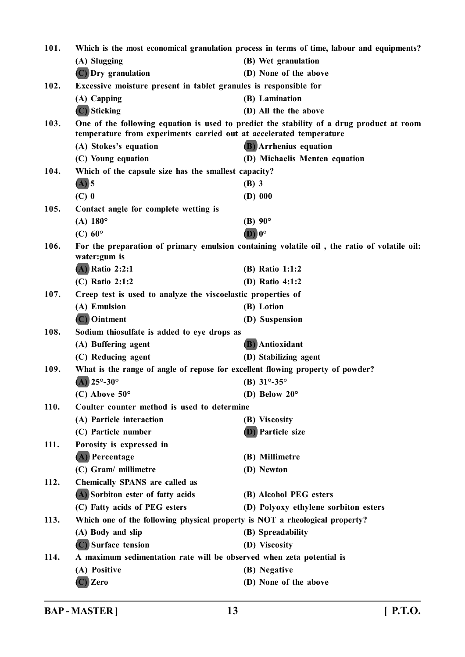| 101. | Which is the most economical granulation process in terms of time, labour and equipments? |                                                                                             |
|------|-------------------------------------------------------------------------------------------|---------------------------------------------------------------------------------------------|
|      | (A) Slugging                                                                              | (B) Wet granulation                                                                         |
|      | (C) Dry granulation                                                                       | (D) None of the above                                                                       |
| 102. | Excessive moisture present in tablet granules is responsible for                          |                                                                                             |
|      | (A) Capping                                                                               | (B) Lamination                                                                              |
|      | (C) Sticking                                                                              | (D) All the the above                                                                       |
| 103. |                                                                                           | One of the following equation is used to predict the stability of a drug product at room    |
|      | temperature from experiments carried out at accelerated temperature                       |                                                                                             |
|      | (A) Stokes's equation                                                                     | (B) Arrhenius equation                                                                      |
|      | (C) Young equation                                                                        | (D) Michaelis Menten equation                                                               |
| 104. | Which of the capsule size has the smallest capacity?                                      |                                                                                             |
|      | $(A)$ 5                                                                                   | $(B)$ 3                                                                                     |
|      | $(C)$ 0                                                                                   | $(D)$ 000                                                                                   |
| 105. | Contact angle for complete wetting is                                                     |                                                                                             |
|      | $(A) 180^{\circ}$                                                                         | (B) $90^{\circ}$<br>$(D)$ $0^{\circ}$                                                       |
|      | $(C)$ 60 $\circ$                                                                          |                                                                                             |
| 106. | water: gum is                                                                             | For the preparation of primary emulsion containing volatile oil, the ratio of volatile oil: |
|      | $(A)$ Ratio 2:2:1                                                                         | (B) Ratio 1:1:2                                                                             |
|      | (C) Ratio 2:1:2                                                                           | (D) Ratio 4:1:2                                                                             |
| 107. | Creep test is used to analyze the viscoelastic properties of                              |                                                                                             |
|      | (A) Emulsion                                                                              | (B) Lotion                                                                                  |
|      | $(C)$ Ointment                                                                            | (D) Suspension                                                                              |
| 108. | Sodium thiosulfate is added to eye drops as                                               |                                                                                             |
|      | (A) Buffering agent                                                                       | <b>(B)</b> Antioxidant                                                                      |
|      | (C) Reducing agent                                                                        | (D) Stabilizing agent                                                                       |
| 109. | What is the range of angle of repose for excellent flowing property of powder?            |                                                                                             |
|      | (A) $25^{\circ} - 30^{\circ}$                                                             | (B) $31^{\circ} - 35^{\circ}$                                                               |
|      | $(C)$ Above $50^{\circ}$                                                                  | (D) Below $20^{\circ}$                                                                      |
| 110. | Coulter counter method is used to determine                                               |                                                                                             |
|      | (A) Particle interaction                                                                  | (B) Viscosity                                                                               |
|      | (C) Particle number                                                                       | <b>(D)</b> Particle size                                                                    |
| 111. | Porosity is expressed in                                                                  |                                                                                             |
|      | (A) Percentage                                                                            | (B) Millimetre                                                                              |
|      | (C) Gram/ millimetre                                                                      | (D) Newton                                                                                  |
| 112. | <b>Chemically SPANS are called as</b>                                                     |                                                                                             |
|      | (A) Sorbiton ester of fatty acids                                                         | (B) Alcohol PEG esters                                                                      |
|      | (C) Fatty acids of PEG esters                                                             | (D) Polyoxy ethylene sorbiton esters                                                        |
| 113. | Which one of the following physical property is NOT a rheological property?               |                                                                                             |
|      | (A) Body and slip                                                                         | (B) Spreadability                                                                           |
|      | (C) Surface tension                                                                       | (D) Viscosity                                                                               |
| 114. | A maximum sedimentation rate will be observed when zeta potential is                      |                                                                                             |
|      | (A) Positive                                                                              | (B) Negative                                                                                |
|      | (C) Zero                                                                                  | (D) None of the above                                                                       |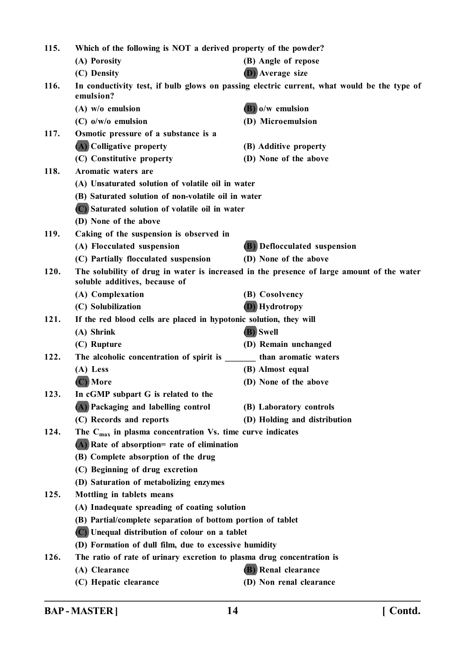| 115. | Which of the following is NOT a derived property of the powder?                                         |                                                                                           |  |
|------|---------------------------------------------------------------------------------------------------------|-------------------------------------------------------------------------------------------|--|
|      | (A) Porosity                                                                                            | (B) Angle of repose                                                                       |  |
|      | (C) Density                                                                                             | <b>D</b> ) Average size                                                                   |  |
| 116. | In conductivity test, if bulb glows on passing electric current, what would be the type of<br>emulsion? |                                                                                           |  |
|      | $(A)$ w/o emulsion                                                                                      | $(B)$ o/w emulsion                                                                        |  |
|      | $(C)$ o/w/o emulsion                                                                                    | (D) Microemulsion                                                                         |  |
| 117. | Osmotic pressure of a substance is a                                                                    |                                                                                           |  |
|      | (A) Colligative property                                                                                | (B) Additive property                                                                     |  |
|      | (C) Constitutive property                                                                               | (D) None of the above                                                                     |  |
| 118. | Aromatic waters are                                                                                     |                                                                                           |  |
|      | (A) Unsaturated solution of volatile oil in water                                                       |                                                                                           |  |
|      | (B) Saturated solution of non-volatile oil in water                                                     |                                                                                           |  |
|      | (C) Saturated solution of volatile oil in water                                                         |                                                                                           |  |
|      | (D) None of the above                                                                                   |                                                                                           |  |
| 119. | Caking of the suspension is observed in                                                                 |                                                                                           |  |
|      | (A) Flocculated suspension                                                                              | (B) Deflocculated suspension                                                              |  |
|      | (C) Partially flocculated suspension                                                                    | (D) None of the above                                                                     |  |
| 120. | soluble additives, because of                                                                           | The solubility of drug in water is increased in the presence of large amount of the water |  |
|      | (A) Complexation                                                                                        | (B) Cosolvency                                                                            |  |
|      | (C) Solubilization                                                                                      | <b>(D)</b> Hydrotropy                                                                     |  |
| 121. | If the red blood cells are placed in hypotonic solution, they will                                      |                                                                                           |  |
|      | (A) Shrink                                                                                              | (B) Swell                                                                                 |  |
|      | (C) Rupture                                                                                             | (D) Remain unchanged                                                                      |  |
| 122. | The alcoholic concentration of spirit is than aromatic waters                                           |                                                                                           |  |
|      | (A) Less                                                                                                | (B) Almost equal                                                                          |  |
|      | (C) More                                                                                                | (D) None of the above                                                                     |  |
| 123. | In cGMP subpart G is related to the                                                                     |                                                                                           |  |
|      | (A) Packaging and labelling control                                                                     | (B) Laboratory controls                                                                   |  |
|      | (C) Records and reports                                                                                 | (D) Holding and distribution                                                              |  |
| 124. | The $C_{\text{max}}$ in plasma concentration Vs. time curve indicates                                   |                                                                                           |  |
|      | (A) Rate of absorption= rate of elimination                                                             |                                                                                           |  |
|      | (B) Complete absorption of the drug                                                                     |                                                                                           |  |
|      | (C) Beginning of drug excretion                                                                         |                                                                                           |  |
|      | (D) Saturation of metabolizing enzymes                                                                  |                                                                                           |  |
| 125. | Mottling in tablets means                                                                               |                                                                                           |  |
|      | (A) Inadequate spreading of coating solution                                                            |                                                                                           |  |
|      | (B) Partial/complete separation of bottom portion of tablet                                             |                                                                                           |  |
|      | (C) Unequal distribution of colour on a tablet                                                          |                                                                                           |  |
|      | (D) Formation of dull film, due to excessive humidity                                                   |                                                                                           |  |
| 126. | The ratio of rate of urinary excretion to plasma drug concentration is                                  |                                                                                           |  |
|      | (A) Clearance                                                                                           | (B) Renal clearance                                                                       |  |
|      | (C) Hepatic clearance                                                                                   | (D) Non renal clearance                                                                   |  |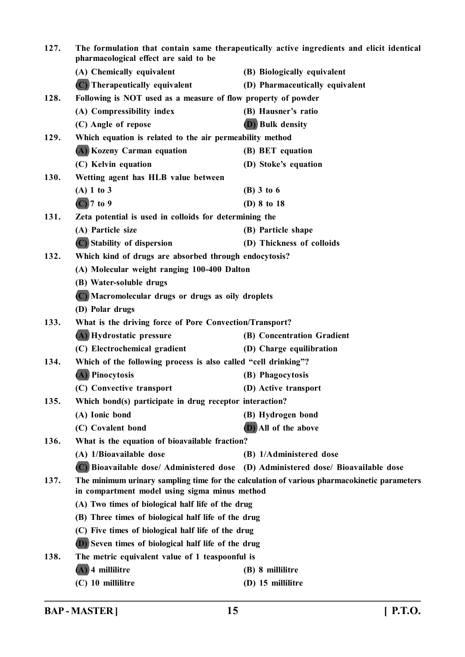| 127. | The formulation that contain same therapeutically active ingredients and elicit identical<br>pharmacological effect are said to be |                                                                                             |
|------|------------------------------------------------------------------------------------------------------------------------------------|---------------------------------------------------------------------------------------------|
|      | (A) Chemically equivalent                                                                                                          | (B) Biologically equivalent                                                                 |
|      | (C) Therapeutically equivalent                                                                                                     | (D) Pharmaceutically equivalent                                                             |
| 128. | Following is NOT used as a measure of flow property of powder                                                                      |                                                                                             |
|      | (A) Compressibility index                                                                                                          | (B) Hausner's ratio                                                                         |
|      | (C) Angle of repose                                                                                                                | (D) Bulk density                                                                            |
| 129. | Which equation is related to the air permeability method                                                                           |                                                                                             |
|      | (A) Kozeny Carman equation                                                                                                         | (B) BET equation                                                                            |
|      | (C) Kelvin equation                                                                                                                | (D) Stoke's equation                                                                        |
| 130. | Wetting agent has HLB value between                                                                                                |                                                                                             |
|      | $(A)$ 1 to 3                                                                                                                       | $(B)$ 3 to 6                                                                                |
|      | $(C)$ 7 to 9                                                                                                                       | (D) 8 to 18                                                                                 |
| 131. | Zeta potential is used in colloids for determining the                                                                             |                                                                                             |
|      | (A) Particle size                                                                                                                  | (B) Particle shape                                                                          |
|      | (C) Stability of dispersion                                                                                                        | (D) Thickness of colloids                                                                   |
| 132. | Which kind of drugs are absorbed through endocytosis?                                                                              |                                                                                             |
|      | (A) Molecular weight ranging 100-400 Dalton                                                                                        |                                                                                             |
|      | (B) Water-soluble drugs                                                                                                            |                                                                                             |
|      | (C) Macromolecular drugs or drugs as oily droplets                                                                                 |                                                                                             |
|      | (D) Polar drugs                                                                                                                    |                                                                                             |
| 133. | What is the driving force of Pore Convection/Transport?                                                                            |                                                                                             |
|      | (A) Hydrostatic pressure                                                                                                           | (B) Concentration Gradient                                                                  |
|      | (C) Electrochemical gradient                                                                                                       | (D) Charge equilibration                                                                    |
| 134. | Which of the following process is also called "cell drinking"?                                                                     |                                                                                             |
|      | (A) Pinocytosis                                                                                                                    | (B) Phagocytosis                                                                            |
|      | (C) Convective transport                                                                                                           | (D) Active transport                                                                        |
| 135. | Which bond(s) participate in drug receptor interaction?                                                                            |                                                                                             |
|      | (A) Ionic bond                                                                                                                     | (B) Hydrogen bond                                                                           |
|      | (C) Covalent bond                                                                                                                  | (D) All of the above                                                                        |
| 136. | What is the equation of bioavailable fraction?                                                                                     |                                                                                             |
|      | (A) 1/Bioavailable dose                                                                                                            | (B) 1/Administered dose                                                                     |
|      |                                                                                                                                    | (C) Bioavailable dose/ Administered dose (D) Administered dose/ Bioavailable dose           |
| 137. | in compartment model using sigma minus method                                                                                      | The minimum urinary sampling time for the calculation of various pharmacokinetic parameters |
|      | (A) Two times of biological half life of the drug                                                                                  |                                                                                             |
|      | (B) Three times of biological half life of the drug                                                                                |                                                                                             |
|      | (C) Five times of biological half life of the drug                                                                                 |                                                                                             |
|      | (D) Seven times of biological half life of the drug                                                                                |                                                                                             |
| 138. | The metric equivalent value of 1 teaspoonful is                                                                                    |                                                                                             |
|      | $(A)$ 4 millilitre                                                                                                                 | (B) 8 millilitre                                                                            |
|      | (C) 10 millilitre                                                                                                                  | (D) 15 millilitre                                                                           |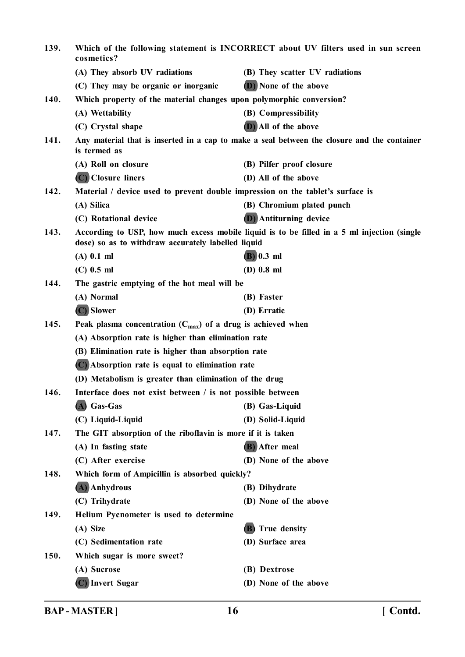| 139. | Which of the following statement is INCORRECT about UV filters used in sun screen<br>cosmetics?             |                                                                                             |  |
|------|-------------------------------------------------------------------------------------------------------------|---------------------------------------------------------------------------------------------|--|
|      | (A) They absorb UV radiations                                                                               | (B) They scatter UV radiations                                                              |  |
|      | (C) They may be organic or inorganic                                                                        | (D) None of the above                                                                       |  |
| 140. | Which property of the material changes upon polymorphic conversion?                                         |                                                                                             |  |
|      | (A) Wettability                                                                                             | (B) Compressibility                                                                         |  |
|      | (C) Crystal shape                                                                                           | (D) All of the above                                                                        |  |
| 141. | Any material that is inserted in a cap to make a seal between the closure and the container<br>is termed as |                                                                                             |  |
|      | (A) Roll on closure                                                                                         | (B) Pilfer proof closure                                                                    |  |
|      | (C) Closure liners                                                                                          | (D) All of the above                                                                        |  |
| 142. | Material / device used to prevent double impression on the tablet's surface is                              |                                                                                             |  |
|      | (A) Silica                                                                                                  | (B) Chromium plated punch                                                                   |  |
|      | (C) Rotational device                                                                                       | <b>(D)</b> Antiturning device                                                               |  |
| 143. | dose) so as to withdraw accurately labelled liquid                                                          | According to USP, how much excess mobile liquid is to be filled in a 5 ml injection (single |  |
|      | $(A)$ 0.1 ml                                                                                                | $(B)$ 0.3 ml                                                                                |  |
|      | $(C)$ 0.5 ml                                                                                                | $(D)$ 0.8 ml                                                                                |  |
| 144. | The gastric emptying of the hot meal will be                                                                |                                                                                             |  |
|      | (A) Normal                                                                                                  | (B) Faster                                                                                  |  |
|      | (C) Slower                                                                                                  | (D) Erratic                                                                                 |  |
| 145. | Peak plasma concentration $(C_{max})$ of a drug is achieved when                                            |                                                                                             |  |
|      | (A) Absorption rate is higher than elimination rate                                                         |                                                                                             |  |
|      | (B) Elimination rate is higher than absorption rate                                                         |                                                                                             |  |
|      | (C) Absorption rate is equal to elimination rate                                                            |                                                                                             |  |
|      | (D) Metabolism is greater than elimination of the drug                                                      |                                                                                             |  |
| 146. | Interface does not exist between / is not possible between                                                  |                                                                                             |  |
|      | (A) Gas-Gas                                                                                                 | (B) Gas-Liquid                                                                              |  |
|      | (C) Liquid-Liquid                                                                                           | (D) Solid-Liquid                                                                            |  |
| 147. | The GIT absorption of the riboflavin is more if it is taken                                                 |                                                                                             |  |
|      | (A) In fasting state                                                                                        | (B) After meal                                                                              |  |
|      | (C) After exercise                                                                                          | (D) None of the above                                                                       |  |
| 148. | Which form of Ampicillin is absorbed quickly?                                                               |                                                                                             |  |
|      | (A) Anhydrous                                                                                               | (B) Dihydrate                                                                               |  |
|      | (C) Trihydrate                                                                                              | (D) None of the above                                                                       |  |
| 149. | Helium Pycnometer is used to determine                                                                      |                                                                                             |  |
|      | (A) Size                                                                                                    | (B) True density                                                                            |  |
|      | (C) Sedimentation rate                                                                                      | (D) Surface area                                                                            |  |
| 150. | Which sugar is more sweet?                                                                                  |                                                                                             |  |
|      | (A) Sucrose                                                                                                 | (B) Dextrose                                                                                |  |
|      | (C) Invert Sugar                                                                                            | (D) None of the above                                                                       |  |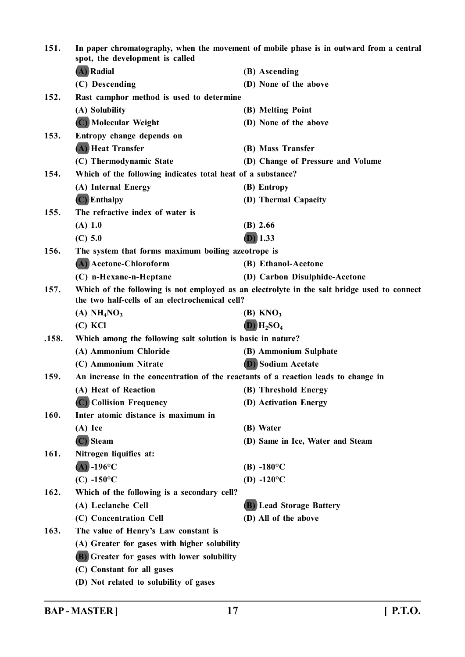| 151.  | In paper chromatography, when the movement of mobile phase is in outward from a central<br>spot, the development is called                    |                                   |  |
|-------|-----------------------------------------------------------------------------------------------------------------------------------------------|-----------------------------------|--|
|       | (A) Radial                                                                                                                                    | (B) Ascending                     |  |
|       | (C) Descending                                                                                                                                | (D) None of the above             |  |
| 152.  | Rast camphor method is used to determine                                                                                                      |                                   |  |
|       | (A) Solubility                                                                                                                                | (B) Melting Point                 |  |
|       | (C) Molecular Weight                                                                                                                          | (D) None of the above             |  |
| 153.  | Entropy change depends on                                                                                                                     |                                   |  |
|       | (A) Heat Transfer                                                                                                                             | (B) Mass Transfer                 |  |
|       | (C) Thermodynamic State                                                                                                                       | (D) Change of Pressure and Volume |  |
| 154.  | Which of the following indicates total heat of a substance?                                                                                   |                                   |  |
|       | (A) Internal Energy                                                                                                                           | (B) Entropy                       |  |
|       | $(C)$ Enthalpy                                                                                                                                | (D) Thermal Capacity              |  |
| 155.  | The refractive index of water is                                                                                                              |                                   |  |
|       | (A) 1.0                                                                                                                                       | $(B)$ 2.66                        |  |
|       | (C) 5.0                                                                                                                                       | $(D)$ 1.33                        |  |
| 156.  | The system that forms maximum boiling azeotrope is                                                                                            |                                   |  |
|       | (A) Acetone-Chloroform                                                                                                                        | (B) Ethanol-Acetone               |  |
|       | (C) n-Hexane-n-Heptane                                                                                                                        | (D) Carbon Disulphide-Acetone     |  |
| 157.  | Which of the following is not employed as an electrolyte in the salt bridge used to connect<br>the two half-cells of an electrochemical cell? |                                   |  |
|       | (A) $NH4NO3$                                                                                                                                  | $(B)$ KNO <sub>3</sub>            |  |
|       | $(C)$ KCl                                                                                                                                     | $(D)$ $H_2SO_4$                   |  |
| .158. | Which among the following salt solution is basic in nature?                                                                                   |                                   |  |
|       | (A) Ammonium Chloride                                                                                                                         | (B) Ammonium Sulphate             |  |
|       | (C) Ammonium Nitrate                                                                                                                          | <b>(D)</b> Sodium Acetate         |  |
| 159.  | An increase in the concentration of the reactants of a reaction leads to change in                                                            |                                   |  |
|       | (A) Heat of Reaction                                                                                                                          | (B) Threshold Energy              |  |
|       | (C) Collision Frequency                                                                                                                       | (D) Activation Energy             |  |
| 160.  | Inter atomic distance is maximum in                                                                                                           |                                   |  |
|       | $(A)$ Ice                                                                                                                                     | (B) Water                         |  |
|       | (C) Steam                                                                                                                                     | (D) Same in Ice, Water and Steam  |  |
| 161.  | Nitrogen liquifies at:                                                                                                                        |                                   |  |
|       | $(A)$ -196°C                                                                                                                                  | $(B) -180^{\circ}C$               |  |
|       | $(C) -150$ °C                                                                                                                                 | (D) $-120^{\circ}$ C              |  |
| 162.  | Which of the following is a secondary cell?                                                                                                   |                                   |  |
|       | (A) Leclanche Cell                                                                                                                            | (B) Lead Storage Battery          |  |
|       | (C) Concentration Cell                                                                                                                        | (D) All of the above              |  |
| 163.  | The value of Henry's Law constant is                                                                                                          |                                   |  |
|       | (A) Greater for gases with higher solubility                                                                                                  |                                   |  |
|       | <b>(B)</b> Greater for gases with lower solubility                                                                                            |                                   |  |
|       | (C) Constant for all gases                                                                                                                    |                                   |  |
|       | (D) Not related to solubility of gases                                                                                                        |                                   |  |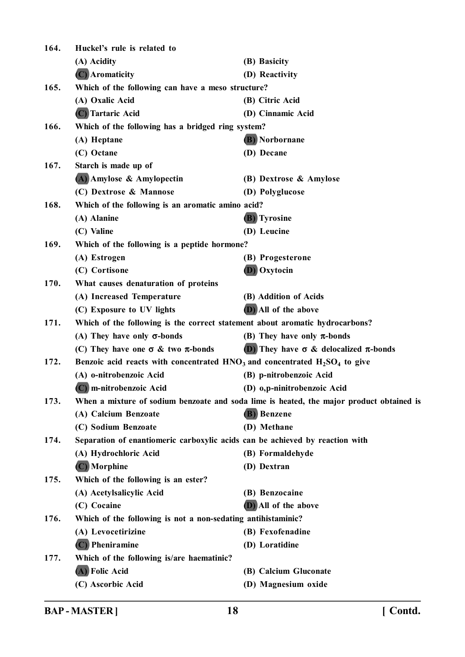**164. Huckel's rule is related to (A) Acidity (B) Basicity (C) Aromaticity (D) Reactivity 165. Which of the following can have a meso structure? (A) Oxalic Acid (B) Citric Acid (C) Tartaric Acid (D) Cinnamic Acid 166. Which of the following has a bridged ring system? (A) Heptane (B) Norbornane (C) Octane (D) Decane 167. Starch is made up of (A) Amylose & Amylopectin (B) Dextrose & Amylose (C) Dextrose & Mannose (D) Polyglucose 168. Which of the following is an aromatic amino acid? (A) Alanine (B) Tyrosine (C) Valine (D) Leucine 169. Which of the following is a peptide hormone? (A) Estrogen (B) Progesterone (C) Cortisone (D) Oxytocin 170. What causes denaturation of proteins (A) Increased Temperature (B) Addition of Acids (C) Exposure to UV lights (D) All of the above 171. Which of the following is the correct statement about aromatic hydrocarbons? (A) They have only -bonds (B) They have only -bonds (C)** They have one  $\sigma \&$  two  $\pi$ -bonds (D) They have  $\sigma \&$  delocalized  $\pi$ -bonds **172. Benzoic acid reacts with concentrated HNO3 and concentrated H2SO<sup>4</sup> to give (A) o-nitrobenzoic Acid (B) p-nitrobenzoic Acid (C) m-nitrobenzoic Acid (D) o,p-ninitrobenzoic Acid 173. When a mixture of sodium benzoate and soda lime is heated, the major product obtained is (A) Calcium Benzoate (B) Benzene (C) Sodium Benzoate (D) Methane 174. Separation of enantiomeric carboxylic acids can be achieved by reaction with (A) Hydrochloric Acid (B) Formaldehyde (C) Morphine (D) Dextran 175. Which of the following is an ester? (A) Acetylsalicylic Acid (B) Benzocaine (C) Cocaine (D) All of the above 176. Which of the following is not a non-sedating antihistaminic? (A) Levocetirizine (B) Fexofenadine (C) Pheniramine (D) Loratidine 177. Which of the following is/are haematinic? (A) Folic Acid (B) Calcium Gluconate (C) Ascorbic Acid (D) Magnesium oxide**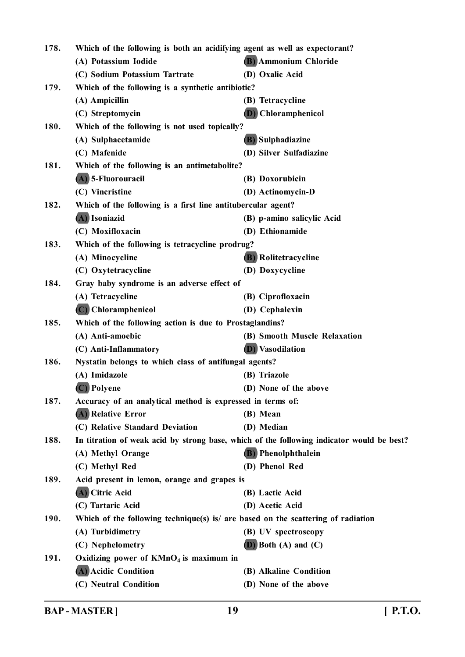| 178. | Which of the following is both an acidifying agent as well as expectorant?                |                                                                                  |  |
|------|-------------------------------------------------------------------------------------------|----------------------------------------------------------------------------------|--|
|      | (A) Potassium Iodide                                                                      | (B) Ammonium Chloride                                                            |  |
|      | (C) Sodium Potassium Tartrate                                                             | (D) Oxalic Acid                                                                  |  |
| 179. | Which of the following is a synthetic antibiotic?                                         |                                                                                  |  |
|      | (A) Ampicillin                                                                            | (B) Tetracycline                                                                 |  |
|      | (C) Streptomycin                                                                          | <b>D</b> ) Chloramphenicol                                                       |  |
| 180. | Which of the following is not used topically?                                             |                                                                                  |  |
|      | (A) Sulphacetamide                                                                        | (B) Sulphadiazine                                                                |  |
|      | (C) Mafenide                                                                              | (D) Silver Sulfadiazine                                                          |  |
| 181. | Which of the following is an antimetabolite?                                              |                                                                                  |  |
|      | (A) 5-Fluorouracil                                                                        | (B) Doxorubicin                                                                  |  |
|      | (C) Vincristine                                                                           | (D) Actinomycin-D                                                                |  |
| 182. | Which of the following is a first line antitubercular agent?                              |                                                                                  |  |
|      | (A) Isoniazid                                                                             | (B) p-amino salicylic Acid                                                       |  |
|      | (C) Moxifloxacin                                                                          | (D) Ethionamide                                                                  |  |
| 183. | Which of the following is tetracycline prodrug?                                           |                                                                                  |  |
|      | (A) Minocycline                                                                           | (B) Rolitetracycline                                                             |  |
|      | (C) Oxytetracycline                                                                       | (D) Doxycycline                                                                  |  |
| 184. | Gray baby syndrome is an adverse effect of                                                |                                                                                  |  |
|      | (A) Tetracycline                                                                          | (B) Ciprofloxacin                                                                |  |
|      | (C) Chloramphenicol                                                                       | (D) Cephalexin                                                                   |  |
| 185. | Which of the following action is due to Prostaglandins?                                   |                                                                                  |  |
|      | (A) Anti-amoebic                                                                          | (B) Smooth Muscle Relaxation                                                     |  |
|      | (C) Anti-Inflammatory                                                                     | <b>(D)</b> Vasodilation                                                          |  |
| 186. | Nystatin belongs to which class of antifungal agents?                                     |                                                                                  |  |
|      | (A) Imidazole                                                                             | (B) Triazole                                                                     |  |
|      | (C) Polyene                                                                               | (D) None of the above                                                            |  |
| 187. | Accuracy of an analytical method is expressed in terms of:                                |                                                                                  |  |
|      | (A) Relative Error                                                                        | (B) Mean                                                                         |  |
|      | (C) Relative Standard Deviation                                                           | (D) Median                                                                       |  |
| 188. | In titration of weak acid by strong base, which of the following indicator would be best? |                                                                                  |  |
|      | (A) Methyl Orange                                                                         | <b>(B)</b> Phenolphthalein                                                       |  |
|      | (C) Methyl Red                                                                            | (D) Phenol Red                                                                   |  |
| 189. | Acid present in lemon, orange and grapes is                                               |                                                                                  |  |
|      | (A) Citric Acid                                                                           | (B) Lactic Acid                                                                  |  |
|      | (C) Tartaric Acid                                                                         | (D) Acetic Acid                                                                  |  |
| 190. |                                                                                           | Which of the following technique(s) is/ are based on the scattering of radiation |  |
|      | (A) Turbidimetry                                                                          | (B) UV spectroscopy                                                              |  |
|      | (C) Nephelometry                                                                          | $(D)$ Both $(A)$ and $(C)$                                                       |  |
| 191. | Oxidizing power of $KMnO4$ is maximum in                                                  |                                                                                  |  |
|      | (A) Acidic Condition                                                                      | (B) Alkaline Condition                                                           |  |
|      | (C) Neutral Condition                                                                     | (D) None of the above                                                            |  |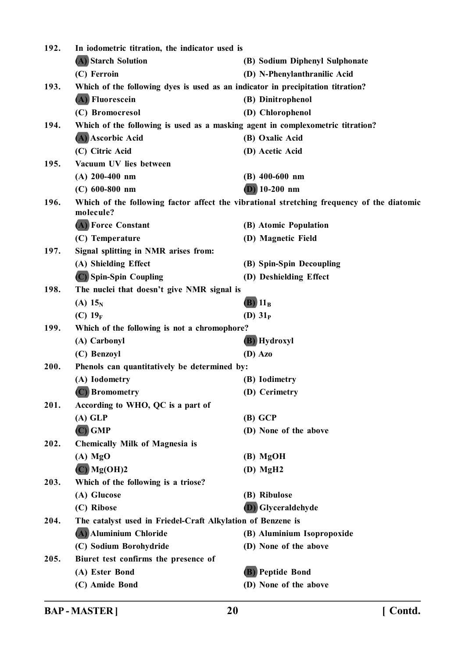| 192. | In iodometric titration, the indicator used is                                  |                                                                                           |  |
|------|---------------------------------------------------------------------------------|-------------------------------------------------------------------------------------------|--|
|      | (A) Starch Solution                                                             | (B) Sodium Diphenyl Sulphonate                                                            |  |
|      | (C) Ferroin                                                                     | (D) N-Phenylanthranilic Acid                                                              |  |
| 193. | Which of the following dyes is used as an indicator in precipitation titration? |                                                                                           |  |
|      | (A) Fluorescein                                                                 | (B) Dinitrophenol                                                                         |  |
|      | (C) Bromocresol                                                                 | (D) Chlorophenol                                                                          |  |
| 194. | Which of the following is used as a masking agent in complexometric titration?  |                                                                                           |  |
|      | (A) Ascorbic Acid                                                               | (B) Oxalic Acid                                                                           |  |
|      | (C) Citric Acid                                                                 | (D) Acetic Acid                                                                           |  |
| 195. | Vacuum UV lies between                                                          |                                                                                           |  |
|      | $(A)$ 200-400 nm                                                                | $(B)$ 400-600 nm                                                                          |  |
|      | $(C)$ 600-800 nm                                                                | $(D)$ 10-200 nm                                                                           |  |
| 196. | molecule?                                                                       | Which of the following factor affect the vibrational stretching frequency of the diatomic |  |
|      | (A) Force Constant                                                              | (B) Atomic Population                                                                     |  |
|      | (C) Temperature                                                                 | (D) Magnetic Field                                                                        |  |
| 197. | Signal splitting in NMR arises from:                                            |                                                                                           |  |
|      | (A) Shielding Effect                                                            | (B) Spin-Spin Decoupling                                                                  |  |
|      | (C) Spin-Spin Coupling                                                          | (D) Deshielding Effect                                                                    |  |
| 198. | The nuclei that doesn't give NMR signal is                                      |                                                                                           |  |
|      | (A) $15_{N}$                                                                    | $(B)$ 11 <sub>B</sub>                                                                     |  |
|      | (C) $19_F$                                                                      | (D) $31P$                                                                                 |  |
| 199. | Which of the following is not a chromophore?                                    |                                                                                           |  |
|      | (A) Carbonyl                                                                    | <b>(B)</b> Hydroxyl                                                                       |  |
|      | (C) Benzoyl                                                                     | $(D)$ Azo                                                                                 |  |
| 200. | Phenols can quantitatively be determined by:                                    |                                                                                           |  |
|      | (A) Iodometry                                                                   | (B) Iodimetry                                                                             |  |
|      | (C) Bromometry                                                                  | (D) Cerimetry                                                                             |  |
| 201. | According to WHO, QC is a part of                                               |                                                                                           |  |
|      | $(A)$ GLP                                                                       | (B) GCP                                                                                   |  |
|      | $(C)$ GMP                                                                       | (D) None of the above                                                                     |  |
| 202. | <b>Chemically Milk of Magnesia is</b>                                           |                                                                                           |  |
|      | $(A)$ MgO                                                                       | $(B)$ MgOH                                                                                |  |
|      | $(C)$ Mg(OH)2                                                                   | $(D)$ MgH <sub>2</sub>                                                                    |  |
| 203. | Which of the following is a triose?                                             |                                                                                           |  |
|      | (A) Glucose                                                                     | (B) Ribulose                                                                              |  |
|      | (C) Ribose                                                                      | <b>D</b> ) Glyceraldehyde                                                                 |  |
| 204. | The catalyst used in Friedel-Craft Alkylation of Benzene is                     |                                                                                           |  |
|      | (A) Aluminium Chloride                                                          | (B) Aluminium Isopropoxide                                                                |  |
|      | (C) Sodium Borohydride                                                          | (D) None of the above                                                                     |  |
| 205. | Biuret test confirms the presence of                                            |                                                                                           |  |
|      | (A) Ester Bond                                                                  | (B) Peptide Bond                                                                          |  |
|      | (C) Amide Bond                                                                  | (D) None of the above                                                                     |  |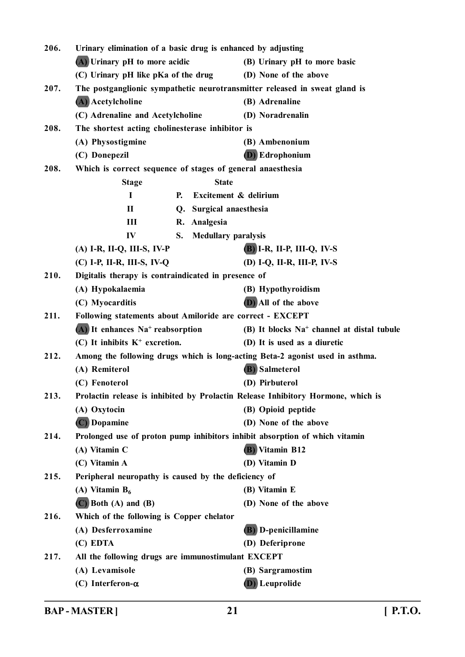| 206. | Urinary elimination of a basic drug is enhanced by adjusting                     |                                                |  |
|------|----------------------------------------------------------------------------------|------------------------------------------------|--|
|      | $(A)$ Urinary pH to more acidic                                                  | (B) Urinary pH to more basic                   |  |
|      | (C) Urinary pH like pKa of the drug                                              | (D) None of the above                          |  |
| 207. | The postganglionic sympathetic neurotransmitter released in sweat gland is       |                                                |  |
|      | (A) Acetylcholine                                                                | (B) Adrenaline                                 |  |
|      | (C) Adrenaline and Acetylcholine                                                 | (D) Noradrenalin                               |  |
| 208. | The shortest acting cholinesterase inhibitor is                                  |                                                |  |
|      | (A) Physostigmine                                                                | (B) Ambenonium                                 |  |
|      | (C) Donepezil                                                                    | <b>(D)</b> Edrophonium                         |  |
| 208. | Which is correct sequence of stages of general anaesthesia                       |                                                |  |
|      | <b>Stage</b><br><b>State</b>                                                     |                                                |  |
|      | $\mathbf I$<br>Excitement & delirium<br><b>P.</b>                                |                                                |  |
|      | Q. Surgical anaesthesia<br>$\mathbf H$                                           |                                                |  |
|      | Ш<br>R. Analgesia                                                                |                                                |  |
|      | IV<br><b>Medullary paralysis</b><br>S.                                           |                                                |  |
|      | $(A)$ I-R, II-Q, III-S, IV-P                                                     | $(B)$ I-R, II-P, III-Q, IV-S                   |  |
|      | $(C)$ I-P, II-R, III-S, IV-Q                                                     | (D) I-Q, II-R, III-P, IV-S                     |  |
| 210. | Digitalis therapy is contraindicated in presence of                              |                                                |  |
|      | (A) Hypokalaemia                                                                 | (B) Hypothyroidism                             |  |
|      | (C) Myocarditis                                                                  | (D) All of the above                           |  |
| 211. | Following statements about Amiloride are correct - EXCEPT                        |                                                |  |
|      | $(A)$ It enhances Na <sup>+</sup> reabsorption                                   | $(B)$ It blocks $Na+$ channel at distal tubule |  |
|      | $(C)$ It inhibits $K^+$ excretion.                                               | (D) It is used as a diuretic                   |  |
| 212. | Among the following drugs which is long-acting Beta-2 agonist used in asthma.    |                                                |  |
|      | (A) Remiterol                                                                    | (B) Salmeterol                                 |  |
|      | (C) Fenoterol                                                                    | (D) Pirbuterol                                 |  |
| 213. | Prolactin release is inhibited by Prolactin Release Inhibitory Hormone, which is |                                                |  |
|      | (A) Oxytocin                                                                     | (B) Opioid peptide                             |  |
|      | (C) Dopamine                                                                     | (D) None of the above                          |  |
| 214. | Prolonged use of proton pump inhibitors inhibit absorption of which vitamin      |                                                |  |
|      | (A) Vitamin C                                                                    | <b>(B)</b> Vitamin B12                         |  |
|      | (C) Vitamin A                                                                    | (D) Vitamin D                                  |  |
| 215. | Peripheral neuropathy is caused by the deficiency of                             |                                                |  |
|      | (A) Vitamin $B_6$                                                                | (B) Vitamin E                                  |  |
|      | $(C)$ Both $(A)$ and $(B)$                                                       | (D) None of the above                          |  |
| 216. | Which of the following is Copper chelator                                        |                                                |  |
|      | (A) Desferroxamine                                                               | <b>(B)</b> D-penicillamine                     |  |
|      | (C) EDTA                                                                         | (D) Deferiprone                                |  |
| 217. | All the following drugs are immunostimulant EXCEPT                               |                                                |  |
|      | (A) Levamisole                                                                   | (B) Sargramostim                               |  |
|      | (C) Interferon- $\alpha$                                                         | <b>(D)</b> Leuprolide                          |  |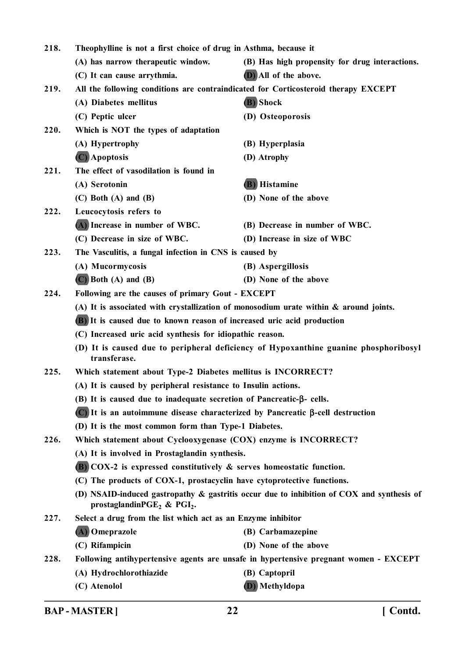| 218. | Theophylline is not a first choice of drug in Asthma, because it                         |                                                                                           |  |
|------|------------------------------------------------------------------------------------------|-------------------------------------------------------------------------------------------|--|
|      | (A) has narrow therapeutic window.                                                       | (B) Has high propensity for drug interactions.                                            |  |
|      | (C) It can cause arrythmia.                                                              | (D) All of the above.                                                                     |  |
| 219. | All the following conditions are contraindicated for Corticosteroid therapy EXCEPT       |                                                                                           |  |
|      | (A) Diabetes mellitus                                                                    | (B) Shock                                                                                 |  |
|      | (C) Peptic ulcer                                                                         | (D) Osteoporosis                                                                          |  |
| 220. | Which is NOT the types of adaptation                                                     |                                                                                           |  |
|      | (A) Hypertrophy                                                                          | (B) Hyperplasia                                                                           |  |
|      | (C) Apoptosis                                                                            | (D) Atrophy                                                                               |  |
| 221. | The effect of vasodilation is found in                                                   |                                                                                           |  |
|      | (A) Serotonin                                                                            | (B) Histamine                                                                             |  |
|      | $(C)$ Both $(A)$ and $(B)$                                                               | (D) None of the above                                                                     |  |
| 222. | Leucocytosis refers to                                                                   |                                                                                           |  |
|      | (A) Increase in number of WBC.                                                           | (B) Decrease in number of WBC.                                                            |  |
|      | (C) Decrease in size of WBC.                                                             | (D) Increase in size of WBC                                                               |  |
| 223. | The Vasculitis, a fungal infection in CNS is caused by                                   |                                                                                           |  |
|      | (A) Mucormycosis                                                                         | (B) Aspergillosis                                                                         |  |
|      | $(C)$ Both $(A)$ and $(B)$                                                               | (D) None of the above                                                                     |  |
| 224. | Following are the causes of primary Gout - EXCEPT                                        |                                                                                           |  |
|      | (A) It is associated with crystallization of monosodium urate within $\&$ around joints. |                                                                                           |  |
|      | (B) It is caused due to known reason of increased uric acid production                   |                                                                                           |  |
|      | (C) Increased uric acid synthesis for idiopathic reason.                                 |                                                                                           |  |
|      | transferase.                                                                             | (D) It is caused due to peripheral deficiency of Hypoxanthine guanine phosphoribosyl      |  |
| 225. | Which statement about Type-2 Diabetes mellitus is INCORRECT?                             |                                                                                           |  |
|      | (A) It is caused by peripheral resistance to Insulin actions.                            |                                                                                           |  |
|      | (B) It is caused due to inadequate secretion of Pancreatic- $\beta$ - cells.             |                                                                                           |  |
|      | (C) It is an autoimmune disease characterized by Pancreatic β-cell destruction           |                                                                                           |  |
|      | (D) It is the most common form than Type-1 Diabetes.                                     |                                                                                           |  |
| 226. | Which statement about Cyclooxygenase (COX) enzyme is INCORRECT?                          |                                                                                           |  |
|      | (A) It is involved in Prostaglandin synthesis.                                           |                                                                                           |  |
|      | $(B)$ COX-2 is expressed constitutively & serves homeostatic function.                   |                                                                                           |  |
|      | (C) The products of COX-1, prostacyclin have cytoprotective functions.                   |                                                                                           |  |
|      | prostaglandinPGE <sub>2</sub> & PGI <sub>2</sub> .                                       | (D) NSAID-induced gastropathy & gastritis occur due to inhibition of COX and synthesis of |  |
| 227. | Select a drug from the list which act as an Enzyme inhibitor                             |                                                                                           |  |
|      | (A) Omeprazole                                                                           | (B) Carbamazepine                                                                         |  |
|      | (C) Rifampicin                                                                           | (D) None of the above                                                                     |  |
| 228. |                                                                                          | Following antihypertensive agents are unsafe in hypertensive pregnant women - EXCEPT      |  |
|      | (A) Hydrochlorothiazide                                                                  | (B) Captopril                                                                             |  |
|      | (C) Atenolol                                                                             | (D) Methyldopa                                                                            |  |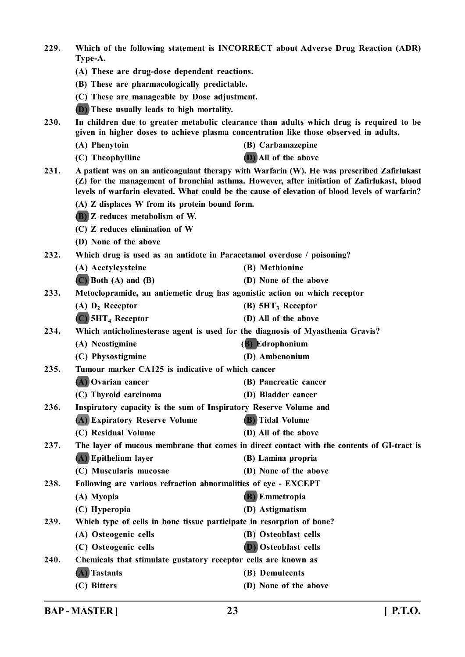| 229. |                                                                                                                                                                                                                                                                                             | Which of the following statement is INCORRECT about Adverse Drug Reaction (ADR)                                                                                                 |  |
|------|---------------------------------------------------------------------------------------------------------------------------------------------------------------------------------------------------------------------------------------------------------------------------------------------|---------------------------------------------------------------------------------------------------------------------------------------------------------------------------------|--|
|      | Type-A.                                                                                                                                                                                                                                                                                     |                                                                                                                                                                                 |  |
|      | (A) These are drug-dose dependent reactions.                                                                                                                                                                                                                                                |                                                                                                                                                                                 |  |
|      | (B) These are pharmacologically predictable.                                                                                                                                                                                                                                                |                                                                                                                                                                                 |  |
|      | (C) These are manageable by Dose adjustment.                                                                                                                                                                                                                                                |                                                                                                                                                                                 |  |
|      | <b>D</b> ) These usually leads to high mortality.                                                                                                                                                                                                                                           |                                                                                                                                                                                 |  |
| 230. |                                                                                                                                                                                                                                                                                             | In children due to greater metabolic clearance than adults which drug is required to be<br>given in higher doses to achieve plasma concentration like those observed in adults. |  |
|      | (A) Phenytoin                                                                                                                                                                                                                                                                               | (B) Carbamazepine                                                                                                                                                               |  |
|      | (C) Theophylline                                                                                                                                                                                                                                                                            | (D) All of the above                                                                                                                                                            |  |
| 231. | A patient was on an anticoagulant therapy with Warfarin (W). He was prescribed Zafirlukast<br>(Z) for the management of bronchial asthma. However, after initiation of Zafirlukast, blood<br>levels of warfarin elevated. What could be the cause of elevation of blood levels of warfarin? |                                                                                                                                                                                 |  |
|      | (A) Z displaces W from its protein bound form.                                                                                                                                                                                                                                              |                                                                                                                                                                                 |  |
|      | <b>(B)</b> Z reduces metabolism of W.                                                                                                                                                                                                                                                       |                                                                                                                                                                                 |  |
|      | (C) Z reduces elimination of W                                                                                                                                                                                                                                                              |                                                                                                                                                                                 |  |
|      | (D) None of the above                                                                                                                                                                                                                                                                       |                                                                                                                                                                                 |  |
| 232. | Which drug is used as an antidote in Paracetamol overdose / poisoning?                                                                                                                                                                                                                      |                                                                                                                                                                                 |  |
|      | (A) Acetylcysteine                                                                                                                                                                                                                                                                          | (B) Methionine                                                                                                                                                                  |  |
|      | $(C)$ Both $(A)$ and $(B)$                                                                                                                                                                                                                                                                  | (D) None of the above                                                                                                                                                           |  |
| 233. | Metoclopramide, an antiemetic drug has agonistic action on which receptor                                                                                                                                                                                                                   |                                                                                                                                                                                 |  |
|      | $(A)$ $D_2$ Receptor                                                                                                                                                                                                                                                                        | $(B)$ 5HT <sub>3</sub> Receptor                                                                                                                                                 |  |
|      | $(C)$ 5HT <sub>4</sub> Receptor                                                                                                                                                                                                                                                             | (D) All of the above                                                                                                                                                            |  |
| 234. | Which anticholinesterase agent is used for the diagnosis of Myasthenia Gravis?                                                                                                                                                                                                              |                                                                                                                                                                                 |  |
|      | (A) Neostigmine                                                                                                                                                                                                                                                                             | (B) Edrophonium                                                                                                                                                                 |  |
|      | (C) Physostigmine                                                                                                                                                                                                                                                                           | (D) Ambenonium                                                                                                                                                                  |  |
| 235. | Tumour marker CA125 is indicative of which cancer                                                                                                                                                                                                                                           |                                                                                                                                                                                 |  |
|      | (A) Ovarian cancer                                                                                                                                                                                                                                                                          | (B) Pancreatic cancer                                                                                                                                                           |  |
|      | (C) Thyroid carcinoma                                                                                                                                                                                                                                                                       | (D) Bladder cancer                                                                                                                                                              |  |
| 236. | Inspiratory capacity is the sum of Inspiratory Reserve Volume and                                                                                                                                                                                                                           |                                                                                                                                                                                 |  |
|      | (A) Expiratory Reserve Volume                                                                                                                                                                                                                                                               | <b>(B)</b> Tidal Volume                                                                                                                                                         |  |
|      | (C) Residual Volume                                                                                                                                                                                                                                                                         | (D) All of the above                                                                                                                                                            |  |
| 237. |                                                                                                                                                                                                                                                                                             | The layer of mucous membrane that comes in direct contact with the contents of GI-tract is                                                                                      |  |
|      | (A) Epithelium layer                                                                                                                                                                                                                                                                        | (B) Lamina propria                                                                                                                                                              |  |
|      | (C) Muscularis mucosae                                                                                                                                                                                                                                                                      | (D) None of the above                                                                                                                                                           |  |
| 238. | Following are various refraction abnormalities of eye - EXCEPT                                                                                                                                                                                                                              |                                                                                                                                                                                 |  |
|      | (A) Myopia                                                                                                                                                                                                                                                                                  | <b>(B)</b> Emmetropia                                                                                                                                                           |  |
|      | (C) Hyperopia                                                                                                                                                                                                                                                                               | (D) Astigmatism                                                                                                                                                                 |  |
| 239. | Which type of cells in bone tissue participate in resorption of bone?                                                                                                                                                                                                                       |                                                                                                                                                                                 |  |
|      | (A) Osteogenic cells                                                                                                                                                                                                                                                                        | (B) Osteoblast cells                                                                                                                                                            |  |
|      | (C) Osteogenic cells                                                                                                                                                                                                                                                                        | (D) Osteoblast cells                                                                                                                                                            |  |
| 240. | Chemicals that stimulate gustatory receptor cells are known as                                                                                                                                                                                                                              |                                                                                                                                                                                 |  |
|      | (A) Tastants                                                                                                                                                                                                                                                                                | (B) Demulcents                                                                                                                                                                  |  |
|      | (C) Bitters                                                                                                                                                                                                                                                                                 | (D) None of the above                                                                                                                                                           |  |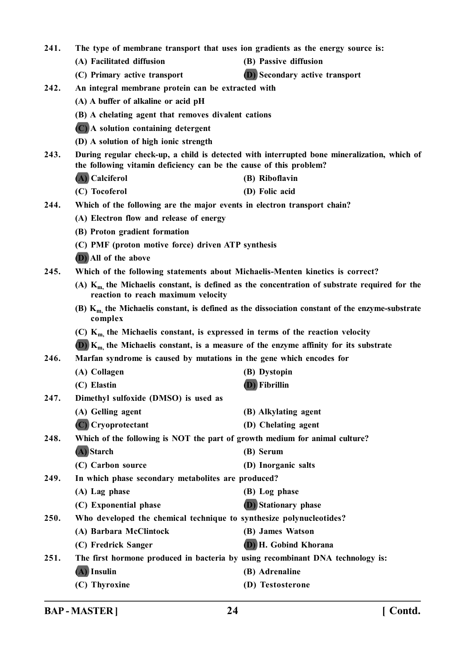| 241. | The type of membrane transport that uses ion gradients as the energy source is:                                                                                   |                                                                                |  |
|------|-------------------------------------------------------------------------------------------------------------------------------------------------------------------|--------------------------------------------------------------------------------|--|
|      | (A) Facilitated diffusion                                                                                                                                         | (B) Passive diffusion                                                          |  |
|      | (C) Primary active transport                                                                                                                                      | (D) Secondary active transport                                                 |  |
| 242. | An integral membrane protein can be extracted with                                                                                                                |                                                                                |  |
|      | (A) A buffer of alkaline or acid pH                                                                                                                               |                                                                                |  |
|      | (B) A chelating agent that removes divalent cations                                                                                                               |                                                                                |  |
|      | (C) A solution containing detergent                                                                                                                               |                                                                                |  |
|      | (D) A solution of high ionic strength                                                                                                                             |                                                                                |  |
| 243. | During regular check-up, a child is detected with interrupted bone mineralization, which of<br>the following vitamin deficiency can be the cause of this problem? |                                                                                |  |
|      | (A) Calciferol                                                                                                                                                    | (B) Riboflavin                                                                 |  |
|      | (C) Tocoferol                                                                                                                                                     | (D) Folic acid                                                                 |  |
| 244. | Which of the following are the major events in electron transport chain?                                                                                          |                                                                                |  |
|      | (A) Electron flow and release of energy                                                                                                                           |                                                                                |  |
|      | (B) Proton gradient formation                                                                                                                                     |                                                                                |  |
|      | (C) PMF (proton motive force) driven ATP synthesis                                                                                                                |                                                                                |  |
|      | (D) All of the above                                                                                                                                              |                                                                                |  |
| 245. |                                                                                                                                                                   | Which of the following statements about Michaelis-Menten kinetics is correct?  |  |
|      | (A) $K_{m}$ , the Michaelis constant, is defined as the concentration of substrate required for the<br>reaction to reach maximum velocity                         |                                                                                |  |
|      | (B) $Km$ , the Michaelis constant, is defined as the dissociation constant of the enzyme-substrate<br>complex                                                     |                                                                                |  |
|      | (C) $K_{m}$ , the Michaelis constant, is expressed in terms of the reaction velocity                                                                              |                                                                                |  |
|      | (D) $K_m$ , the Michaelis constant, is a measure of the enzyme affinity for its substrate                                                                         |                                                                                |  |
| 246. | Marfan syndrome is caused by mutations in the gene which encodes for                                                                                              |                                                                                |  |
|      | (A) Collagen                                                                                                                                                      | (B) Dystopin                                                                   |  |
|      | (C) Elastin                                                                                                                                                       | <b>(D)</b> Fibrillin                                                           |  |
| 247. | Dimethyl sulfoxide (DMSO) is used as                                                                                                                              |                                                                                |  |
|      | (A) Gelling agent                                                                                                                                                 | (B) Alkylating agent                                                           |  |
|      | (C) Cryoprotectant                                                                                                                                                | (D) Chelating agent                                                            |  |
| 248. | Which of the following is NOT the part of growth medium for animal culture?                                                                                       |                                                                                |  |
|      | (A) Starch                                                                                                                                                        | (B) Serum                                                                      |  |
|      | (C) Carbon source                                                                                                                                                 | (D) Inorganic salts                                                            |  |
| 249. | In which phase secondary metabolites are produced?                                                                                                                |                                                                                |  |
|      | (A) Lag phase                                                                                                                                                     | (B) Log phase                                                                  |  |
|      | (C) Exponential phase                                                                                                                                             | <b>D</b> ) Stationary phase                                                    |  |
| 250. | Who developed the chemical technique to synthesize polynucleotides?                                                                                               |                                                                                |  |
|      | (A) Barbara McClintock                                                                                                                                            | (B) James Watson                                                               |  |
|      | (C) Fredrick Sanger                                                                                                                                               | (D) H. Gobind Khorana                                                          |  |
| 251. |                                                                                                                                                                   | The first hormone produced in bacteria by using recombinant DNA technology is: |  |
|      | (A) Insulin                                                                                                                                                       | (B) Adrenaline                                                                 |  |
|      | (C) Thyroxine                                                                                                                                                     | (D) Testosterone                                                               |  |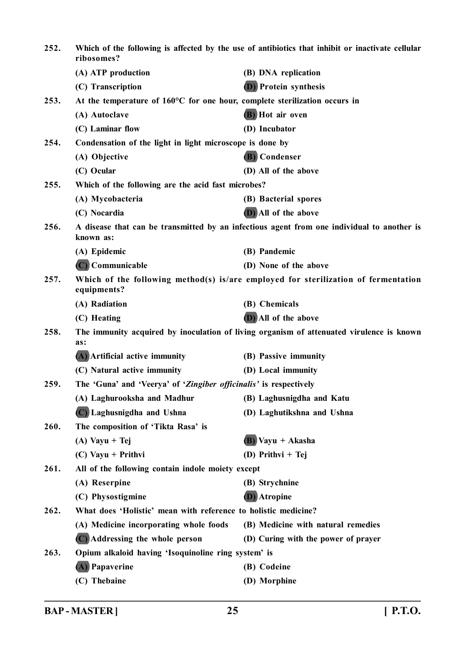| 252. | Which of the following is affected by the use of antibiotics that inhibit or inactivate cellular<br>ribosomes? |                                                                                            |  |
|------|----------------------------------------------------------------------------------------------------------------|--------------------------------------------------------------------------------------------|--|
|      | (A) ATP production                                                                                             | (B) DNA replication                                                                        |  |
|      | (C) Transcription                                                                                              | (D) Protein synthesis                                                                      |  |
| 253. | At the temperature of 160°C for one hour, complete sterilization occurs in                                     |                                                                                            |  |
|      | (A) Autoclave                                                                                                  | (B) Hot air oven                                                                           |  |
|      | (C) Laminar flow                                                                                               | (D) Incubator                                                                              |  |
| 254. | Condensation of the light in light microscope is done by                                                       |                                                                                            |  |
|      | (A) Objective                                                                                                  | (B) Condenser                                                                              |  |
|      | (C) Ocular                                                                                                     | (D) All of the above                                                                       |  |
| 255. | Which of the following are the acid fast microbes?                                                             |                                                                                            |  |
|      | (A) Mycobacteria                                                                                               | (B) Bacterial spores                                                                       |  |
|      | (C) Nocardia                                                                                                   | (D) All of the above                                                                       |  |
| 256. | known as:                                                                                                      | A disease that can be transmitted by an infectious agent from one individual to another is |  |
|      | (A) Epidemic                                                                                                   | (B) Pandemic                                                                               |  |
|      | (C) Communicable                                                                                               | (D) None of the above                                                                      |  |
| 257. | Which of the following method(s) is/are employed for sterilization of fermentation<br>equipments?              |                                                                                            |  |
|      | (A) Radiation                                                                                                  | (B) Chemicals                                                                              |  |
|      | (C) Heating                                                                                                    | (D) All of the above                                                                       |  |
| 258. | as:                                                                                                            | The immunity acquired by inoculation of living organism of attenuated virulence is known   |  |
|      | (A) Artificial active immunity                                                                                 | (B) Passive immunity                                                                       |  |
|      | (C) Natural active immunity                                                                                    | (D) Local immunity                                                                         |  |
| 259. | The 'Guna' and 'Veerya' of 'Zingiber officinalis' is respectively                                              |                                                                                            |  |
|      | (A) Laghurooksha and Madhur                                                                                    | (B) Laghusnigdha and Katu                                                                  |  |
|      | (C) Laghusnigdha and Ushna                                                                                     | (D) Laghutikshna and Ushna                                                                 |  |
| 260. | The composition of 'Tikta Rasa' is                                                                             |                                                                                            |  |
|      | $(A)$ Vayu + Tej                                                                                               | $(B)$ Vayu + Akasha                                                                        |  |
|      | $(C)$ Vayu + Prithvi                                                                                           | (D) Prithvi + Tej                                                                          |  |
| 261. | All of the following contain indole moiety except                                                              |                                                                                            |  |
|      | (A) Reserpine                                                                                                  | (B) Strychnine                                                                             |  |
|      | (C) Physostigmine                                                                                              | (D) Atropine                                                                               |  |
| 262. | What does 'Holistic' mean with reference to holistic medicine?                                                 |                                                                                            |  |
|      | (A) Medicine incorporating whole foods                                                                         | (B) Medicine with natural remedies                                                         |  |
|      | (C) Addressing the whole person                                                                                | (D) Curing with the power of prayer                                                        |  |
| 263. | Opium alkaloid having 'Isoquinoline ring system' is                                                            |                                                                                            |  |
|      | (A) Papaverine                                                                                                 | (B) Codeine                                                                                |  |
|      | (C) Thebaine                                                                                                   | (D) Morphine                                                                               |  |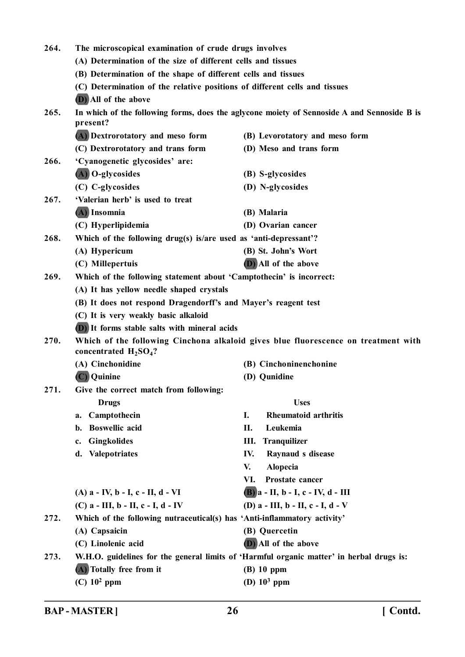| 264. | The microscopical examination of crude drugs involves                      |                                                                                             |  |  |
|------|----------------------------------------------------------------------------|---------------------------------------------------------------------------------------------|--|--|
|      | (A) Determination of the size of different cells and tissues               |                                                                                             |  |  |
|      | (B) Determination of the shape of different cells and tissues              |                                                                                             |  |  |
|      | (C) Determination of the relative positions of different cells and tissues |                                                                                             |  |  |
|      | (D) All of the above                                                       |                                                                                             |  |  |
| 265. | present?                                                                   | In which of the following forms, does the aglycone moiety of Sennoside A and Sennoside B is |  |  |
|      | (A) Dextrorotatory and meso form                                           | (B) Levorotatory and meso form                                                              |  |  |
|      | (C) Dextrorotatory and trans form                                          | (D) Meso and trans form                                                                     |  |  |
| 266. | 'Cyanogenetic glycosides' are:                                             |                                                                                             |  |  |
|      | (A) O-glycosides                                                           | (B) S-glycosides                                                                            |  |  |
|      | (C) C-glycosides                                                           | (D) N-glycosides                                                                            |  |  |
| 267. | 'Valerian herb' is used to treat                                           |                                                                                             |  |  |
|      | (A) Insomnia                                                               | (B) Malaria                                                                                 |  |  |
|      | (C) Hyperlipidemia                                                         | (D) Ovarian cancer                                                                          |  |  |
| 268. | Which of the following drug(s) is/are used as 'anti-depressant'?           |                                                                                             |  |  |
|      | (A) Hypericum                                                              | (B) St. John's Wort                                                                         |  |  |
|      | (C) Millepertuis                                                           | (D) All of the above                                                                        |  |  |
| 269. | Which of the following statement about 'Camptothecin' is incorrect:        |                                                                                             |  |  |
|      | (A) It has yellow needle shaped crystals                                   |                                                                                             |  |  |
|      | (B) It does not respond Dragendorff's and Mayer's reagent test             |                                                                                             |  |  |
|      | (C) It is very weakly basic alkaloid                                       |                                                                                             |  |  |
|      | <b>D</b> ) It forms stable salts with mineral acids                        |                                                                                             |  |  |
| 270. | concentrated $H_2SO_4$ ?                                                   | Which of the following Cinchona alkaloid gives blue fluorescence on treatment with          |  |  |
|      | (A) Cinchonidine                                                           | (B) Cinchoninenchonine                                                                      |  |  |
|      | (C) Quinine                                                                | (D) Qunidine                                                                                |  |  |
| 271. | Give the correct match from following:                                     |                                                                                             |  |  |
|      | <b>Drugs</b>                                                               | <b>Uses</b>                                                                                 |  |  |
|      | Camptothecin<br>a.                                                         | <b>Rheumatoid arthritis</b><br>Ι.                                                           |  |  |
|      | <b>Boswellic</b> acid<br>b.                                                | Leukemia<br>П.                                                                              |  |  |
|      | <b>Gingkolides</b><br>c.                                                   | <b>Tranquilizer</b><br>Ш.                                                                   |  |  |
|      | <b>Valepotriates</b><br>d.                                                 | IV.<br>Raynaud s disease                                                                    |  |  |
|      |                                                                            | V.<br><b>Alopecia</b>                                                                       |  |  |
|      |                                                                            | VI.<br>Prostate cancer                                                                      |  |  |
|      | $(A)$ a - IV, b - I, c - II, d - VI                                        | $(B)$ a - II, b - I, c - IV, d - III                                                        |  |  |
|      | (C) $a$ - III, $b$ - II, $c$ - I, $d$ - IV                                 | (D) $a$ - III, $b$ - II, $c$ - I, $d$ - V                                                   |  |  |
| 272. | Which of the following nutraceutical(s) has 'Anti-inflammatory activity'   |                                                                                             |  |  |
|      | (A) Capsaicin                                                              | (B) Quercetin                                                                               |  |  |
|      | (C) Linolenic acid                                                         | (D) All of the above                                                                        |  |  |
| 273. |                                                                            | W.H.O. guidelines for the general limits of 'Harmful organic matter' in herbal drugs is:    |  |  |
|      | (A) Totally free from it                                                   | $(B)$ 10 ppm                                                                                |  |  |
|      | $(C)$ 10 <sup>2</sup> ppm                                                  | (D) $10^3$ ppm                                                                              |  |  |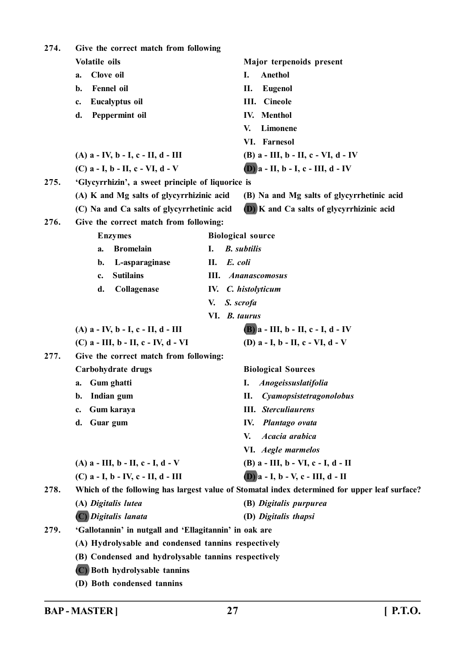| 274. | Give the correct match from following                  |               |                                                                                               |
|------|--------------------------------------------------------|---------------|-----------------------------------------------------------------------------------------------|
|      | Volatile oils                                          |               | Major terpenoids present                                                                      |
|      | Clove oil<br>a.                                        |               | Anethol<br>Ι.                                                                                 |
|      | <b>Fennel</b> oil<br>$\mathbf{b}$ .                    |               | П.<br><b>Eugenol</b>                                                                          |
|      | Eucalyptus oil<br>c.                                   |               | <b>Cineole</b><br>III.                                                                        |
|      | Peppermint oil<br>d.                                   |               | <b>IV.</b> Menthol                                                                            |
|      |                                                        |               | Limonene<br>V.                                                                                |
|      |                                                        |               | VI. Farnesol                                                                                  |
|      | $(A)$ a - IV, b - I, c - II, d - III                   |               | (B) $a$ - III, $b$ - II, $c$ - VI, $d$ - IV                                                   |
|      | (C) $a - I$ , $b - II$ , $c - VI$ , $d - V$            |               | $(D)$ a - II, b - I, c - III, d - IV                                                          |
| 275. | 'Glycyrrhizin', a sweet principle of liquorice is      |               |                                                                                               |
|      | (A) K and Mg salts of glycyrrhizinic acid              |               | (B) Na and Mg salts of glycyrrhetinic acid                                                    |
|      | (C) Na and Ca salts of glycyrrhetinic acid             |               | (D) K and Ca salts of glycyrrhizinic acid                                                     |
| 276. | Give the correct match from following:                 |               |                                                                                               |
|      | <b>Enzymes</b>                                         |               | <b>Biological source</b>                                                                      |
|      | <b>Bromelain</b><br>a.                                 | I.            | <b>B.</b> subtilis                                                                            |
|      | L-asparaginase<br>b.                                   | E. coli<br>П. |                                                                                               |
|      | <b>Sutilains</b><br>c.                                 | III.          | <b>Ananascomosus</b>                                                                          |
|      | d.<br>Collagenase                                      | IV.           | C. histolyticum                                                                               |
|      |                                                        | V.            | S. scrofa                                                                                     |
|      | VI. B. taurus                                          |               |                                                                                               |
|      | $(A)$ a - IV, b - I, c - II, d - III                   |               | $(B)$ a - III, b - II, c - I, d - IV                                                          |
|      | $(C)$ a - III, b - II, c - IV, d - VI                  |               | (D) $a - I$ , $b - II$ , $c - VI$ , $d - V$                                                   |
| 277. | Give the correct match from following:                 |               |                                                                                               |
|      | Carbohydrate drugs                                     |               | <b>Biological Sources</b>                                                                     |
|      | Gum ghatti<br>a.                                       |               | <b>Anogeissuslatifolia</b><br>I.                                                              |
|      | Indian gum<br>b.                                       |               | Cyamopsistetragonolobus<br>П.                                                                 |
|      | Gum karaya<br>c.                                       |               | <b>III.</b> Sterculiaurens                                                                    |
|      | Guar gum<br>d.                                         |               | Plantago ovata<br>IV.                                                                         |
|      |                                                        |               | Acacia arabica<br>V.                                                                          |
|      |                                                        |               | VI. Aegle marmelos                                                                            |
|      | (A) $a$ - III, $b$ - II, $c$ - I, $d$ - V              |               | (B) a - III, b - VI, c - I, d - II                                                            |
|      | $(C)$ a - I, b - IV, c - II, d - III                   |               | $(D)$ a - I, b - V, c - III, d - II                                                           |
| 278. |                                                        |               | Which of the following has largest value of Stomatal index determined for upper leaf surface? |
|      | (A) Digitalis lutea                                    |               | (B) Digitalis purpurea                                                                        |
|      | (C) Digitalis lanata                                   |               | (D) Digitalis thapsi                                                                          |
| 279. | 'Gallotannin' in nutgall and 'Ellagitannin' in oak are |               |                                                                                               |
|      | (A) Hydrolysable and condensed tannins respectively    |               |                                                                                               |
|      | (B) Condensed and hydrolysable tannins respectively    |               |                                                                                               |
|      | (C) Both hydrolysable tannins                          |               |                                                                                               |
|      | (D) Both condensed tannins                             |               |                                                                                               |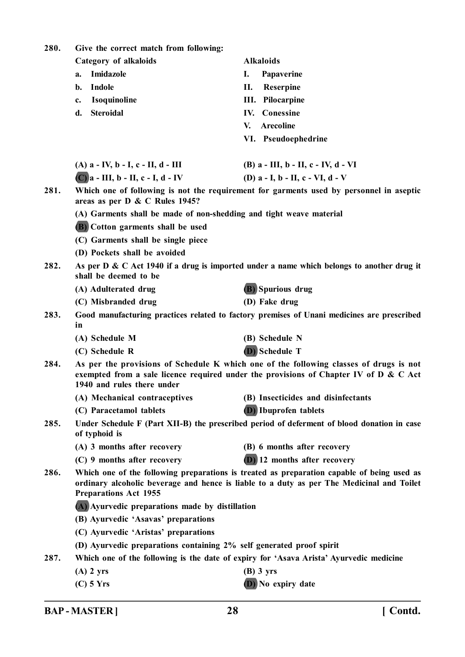| 280. | Give the correct match from following:                                                                                                                                                                                  |                                                                                           |  |  |
|------|-------------------------------------------------------------------------------------------------------------------------------------------------------------------------------------------------------------------------|-------------------------------------------------------------------------------------------|--|--|
|      | Category of alkaloids                                                                                                                                                                                                   | <b>Alkaloids</b>                                                                          |  |  |
|      | Imidazole<br>a.                                                                                                                                                                                                         | I.<br>Papaverine                                                                          |  |  |
|      | Indole<br>b.                                                                                                                                                                                                            | П.<br>Reserpine                                                                           |  |  |
|      | Isoquinoline<br>c.                                                                                                                                                                                                      | <b>III.</b> Pilocarpine                                                                   |  |  |
|      | <b>Steroidal</b><br>d.                                                                                                                                                                                                  | <b>IV.</b> Conessine                                                                      |  |  |
|      |                                                                                                                                                                                                                         | <b>Arecoline</b><br>V.                                                                    |  |  |
|      |                                                                                                                                                                                                                         | VI. Pseudoephedrine                                                                       |  |  |
|      | $(A)$ a - IV, b - I, c - II, d - III                                                                                                                                                                                    | (B) $a$ - III, $b$ - II, $c$ - IV, $d$ - VI                                               |  |  |
|      | $(C)$ a - III, b - II, c - I, d - IV                                                                                                                                                                                    | (D) $a - I$ , $b - II$ , $c - VI$ , $d - V$                                               |  |  |
| 281. | Which one of following is not the requirement for garments used by personnel in aseptic<br>areas as per D & C Rules 1945?                                                                                               |                                                                                           |  |  |
|      | (A) Garments shall be made of non-shedding and tight weave material                                                                                                                                                     |                                                                                           |  |  |
|      | (B) Cotton garments shall be used                                                                                                                                                                                       |                                                                                           |  |  |
|      | (C) Garments shall be single piece                                                                                                                                                                                      |                                                                                           |  |  |
|      | (D) Pockets shall be avoided                                                                                                                                                                                            |                                                                                           |  |  |
| 282. | shall be deemed to be                                                                                                                                                                                                   | As per D & C Act 1940 if a drug is imported under a name which belongs to another drug it |  |  |
|      | (A) Adulterated drug                                                                                                                                                                                                    | (B) Spurious drug                                                                         |  |  |
|      | (C) Misbranded drug                                                                                                                                                                                                     | (D) Fake drug                                                                             |  |  |
| 283. | Good manufacturing practices related to factory premises of Unani medicines are prescribed<br>in                                                                                                                        |                                                                                           |  |  |
|      | (A) Schedule M                                                                                                                                                                                                          | (B) Schedule N                                                                            |  |  |
|      | (C) Schedule R                                                                                                                                                                                                          | (D) Schedule T                                                                            |  |  |
| 284. | As per the provisions of Schedule K which one of the following classes of drugs is not<br>exempted from a sale licence required under the provisions of Chapter IV of D & C Act<br>1940 and rules there under           |                                                                                           |  |  |
|      | (A) Mechanical contraceptives                                                                                                                                                                                           | (B) Insecticides and disinfectants                                                        |  |  |
|      | (C) Paracetamol tablets                                                                                                                                                                                                 | <b>(D)</b> Ibuprofen tablets                                                              |  |  |
| 285. | Under Schedule F (Part XII-B) the prescribed period of deferment of blood donation in case<br>of typhoid is                                                                                                             |                                                                                           |  |  |
|      | (A) 3 months after recovery                                                                                                                                                                                             | (B) 6 months after recovery                                                               |  |  |
|      | (C) 9 months after recovery                                                                                                                                                                                             | (D) 12 months after recovery                                                              |  |  |
| 286. | Which one of the following preparations is treated as preparation capable of being used as<br>ordinary alcoholic beverage and hence is liable to a duty as per The Medicinal and Toilet<br><b>Preparations Act 1955</b> |                                                                                           |  |  |
|      | (A) Ayurvedic preparations made by distillation                                                                                                                                                                         |                                                                                           |  |  |
|      | (B) Ayurvedic 'Asavas' preparations                                                                                                                                                                                     |                                                                                           |  |  |
|      | (C) Ayurvedic 'Aristas' preparations                                                                                                                                                                                    |                                                                                           |  |  |
|      | (D) Ayurvedic preparations containing 2% self generated proof spirit                                                                                                                                                    |                                                                                           |  |  |
| 287. |                                                                                                                                                                                                                         | Which one of the following is the date of expiry for 'Asava Arista' Ayurvedic medicine    |  |  |
|      | $(A)$ 2 yrs                                                                                                                                                                                                             | $(B)$ 3 yrs                                                                               |  |  |
|      | $(C)$ 5 Yrs                                                                                                                                                                                                             | (D) No expiry date                                                                        |  |  |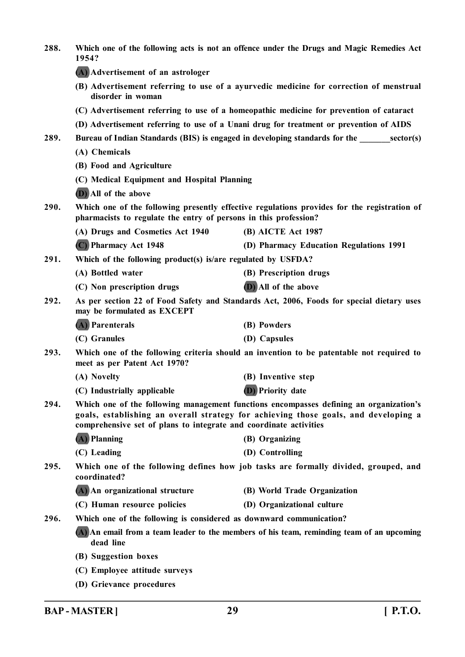| 288. | Which one of the following acts is not an offence under the Drugs and Magic Remedies Act<br>1954?                                                                                                                                                  |                                                                                          |  |
|------|----------------------------------------------------------------------------------------------------------------------------------------------------------------------------------------------------------------------------------------------------|------------------------------------------------------------------------------------------|--|
|      | (A) Advertisement of an astrologer                                                                                                                                                                                                                 |                                                                                          |  |
|      | (B) Advertisement referring to use of a ayurvedic medicine for correction of menstrual<br>disorder in woman                                                                                                                                        |                                                                                          |  |
|      | (C) Advertisement referring to use of a homeopathic medicine for prevention of cataract                                                                                                                                                            |                                                                                          |  |
|      | (D) Advertisement referring to use of a Unani drug for treatment or prevention of AIDS                                                                                                                                                             |                                                                                          |  |
| 289. | Bureau of Indian Standards (BIS) is engaged in developing standards for the sector(s)                                                                                                                                                              |                                                                                          |  |
|      | (A) Chemicals                                                                                                                                                                                                                                      |                                                                                          |  |
|      | (B) Food and Agriculture                                                                                                                                                                                                                           |                                                                                          |  |
|      | (C) Medical Equipment and Hospital Planning                                                                                                                                                                                                        |                                                                                          |  |
|      | (D) All of the above                                                                                                                                                                                                                               |                                                                                          |  |
| 290. | Which one of the following presently effective regulations provides for the registration of<br>pharmacists to regulate the entry of persons in this profession?                                                                                    |                                                                                          |  |
|      | (A) Drugs and Cosmetics Act 1940                                                                                                                                                                                                                   | (B) AICTE Act 1987                                                                       |  |
|      | (C) Pharmacy Act 1948                                                                                                                                                                                                                              | (D) Pharmacy Education Regulations 1991                                                  |  |
| 291. | Which of the following product(s) is/are regulated by USFDA?                                                                                                                                                                                       |                                                                                          |  |
|      | (A) Bottled water                                                                                                                                                                                                                                  | (B) Prescription drugs                                                                   |  |
|      | (C) Non prescription drugs                                                                                                                                                                                                                         | (D) All of the above                                                                     |  |
| 292. | may be formulated as EXCEPT                                                                                                                                                                                                                        | As per section 22 of Food Safety and Standards Act, 2006, Foods for special dietary uses |  |
|      | (A) Parenterals                                                                                                                                                                                                                                    | (B) Powders                                                                              |  |
|      | (C) Granules                                                                                                                                                                                                                                       | (D) Capsules                                                                             |  |
| 293. | Which one of the following criteria should an invention to be patentable not required to<br>meet as per Patent Act 1970?                                                                                                                           |                                                                                          |  |
|      | (A) Novelty                                                                                                                                                                                                                                        | (B) Inventive step                                                                       |  |
|      | (C) Industrially applicable                                                                                                                                                                                                                        | (D) Priority date                                                                        |  |
| 294. | Which one of the following management functions encompasses defining an organization's<br>goals, establishing an overall strategy for achieving those goals, and developing a<br>comprehensive set of plans to integrate and coordinate activities |                                                                                          |  |
|      | (A) Planning                                                                                                                                                                                                                                       | (B) Organizing                                                                           |  |
|      | (C) Leading                                                                                                                                                                                                                                        | (D) Controlling                                                                          |  |
| 295. | Which one of the following defines how job tasks are formally divided, grouped, and<br>coordinated?                                                                                                                                                |                                                                                          |  |
|      | (A) An organizational structure                                                                                                                                                                                                                    | (B) World Trade Organization                                                             |  |
|      | (C) Human resource policies                                                                                                                                                                                                                        | (D) Organizational culture                                                               |  |
| 296. | Which one of the following is considered as downward communication?                                                                                                                                                                                |                                                                                          |  |
|      | (A) An email from a team leader to the members of his team, reminding team of an upcoming<br>dead line                                                                                                                                             |                                                                                          |  |
|      | (B) Suggestion boxes                                                                                                                                                                                                                               |                                                                                          |  |
|      | (C) Employee attitude surveys                                                                                                                                                                                                                      |                                                                                          |  |
|      | (D) Grievance procedures                                                                                                                                                                                                                           |                                                                                          |  |